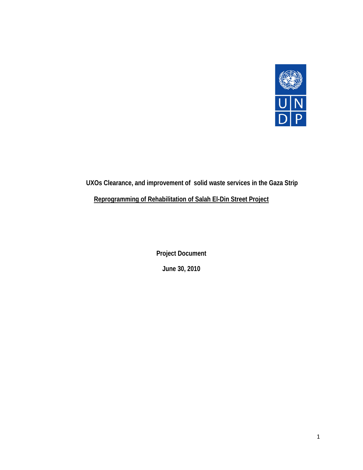

# **UXOs Clearance, and improvement of solid waste services in the Gaza Strip Reprogramming of Rehabilitation of Salah El-Din Street Project**

**Project Document June 30, 2010**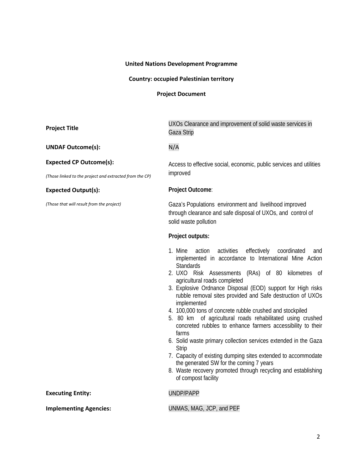# **United Nations Development Programme**

# **Country: occupied Palestinian territory**

**Project Document**

| <b>Project Title</b>                                    | UXOs Clearance and improvement of solid waste services in<br>Gaza Strip                                                                                                                                                                                                                                                                                                                                                                                                                                                                                                                                                                                                                                                                                                                                                                                                |  |  |  |  |  |  |  |
|---------------------------------------------------------|------------------------------------------------------------------------------------------------------------------------------------------------------------------------------------------------------------------------------------------------------------------------------------------------------------------------------------------------------------------------------------------------------------------------------------------------------------------------------------------------------------------------------------------------------------------------------------------------------------------------------------------------------------------------------------------------------------------------------------------------------------------------------------------------------------------------------------------------------------------------|--|--|--|--|--|--|--|
| <b>UNDAF Outcome(s):</b>                                | N/A                                                                                                                                                                                                                                                                                                                                                                                                                                                                                                                                                                                                                                                                                                                                                                                                                                                                    |  |  |  |  |  |  |  |
| <b>Expected CP Outcome(s):</b>                          | Access to effective social, economic, public services and utilities                                                                                                                                                                                                                                                                                                                                                                                                                                                                                                                                                                                                                                                                                                                                                                                                    |  |  |  |  |  |  |  |
| (Those linked to the project and extracted from the CP) | improved                                                                                                                                                                                                                                                                                                                                                                                                                                                                                                                                                                                                                                                                                                                                                                                                                                                               |  |  |  |  |  |  |  |
| <b>Expected Output(s):</b>                              | Project Outcome:                                                                                                                                                                                                                                                                                                                                                                                                                                                                                                                                                                                                                                                                                                                                                                                                                                                       |  |  |  |  |  |  |  |
| (Those that will result from the project)               | Gaza's Populations environment and livelihood improved<br>through clearance and safe disposal of UXOs, and control of<br>solid waste pollution                                                                                                                                                                                                                                                                                                                                                                                                                                                                                                                                                                                                                                                                                                                         |  |  |  |  |  |  |  |
|                                                         | Project outputs:                                                                                                                                                                                                                                                                                                                                                                                                                                                                                                                                                                                                                                                                                                                                                                                                                                                       |  |  |  |  |  |  |  |
|                                                         | 1. Mine<br>activities<br>effectively<br>action<br>coordinated<br>and<br>implemented in accordance to International Mine Action<br><b>Standards</b><br>2. UXO Risk Assessments (RAs) of 80 kilometres of<br>agricultural roads completed<br>3. Explosive Ordnance Disposal (EOD) support for High risks<br>rubble removal sites provided and Safe destruction of UXOs<br>implemented<br>4. 100,000 tons of concrete rubble crushed and stockpiled<br>5. 80 km of agricultural roads rehabilitated using crushed<br>concreted rubbles to enhance farmers accessibility to their<br>farms<br>6. Solid waste primary collection services extended in the Gaza<br>Strip<br>7. Capacity of existing dumping sites extended to accommodate<br>the generated SW for the coming 7 years<br>8. Waste recovery promoted through recycling and establishing<br>of compost facility |  |  |  |  |  |  |  |
| <b>Executing Entity:</b>                                | UNDP/PAPP                                                                                                                                                                                                                                                                                                                                                                                                                                                                                                                                                                                                                                                                                                                                                                                                                                                              |  |  |  |  |  |  |  |
| <b>Implementing Agencies:</b>                           | UNMAS, MAG, JCP, and PEF                                                                                                                                                                                                                                                                                                                                                                                                                                                                                                                                                                                                                                                                                                                                                                                                                                               |  |  |  |  |  |  |  |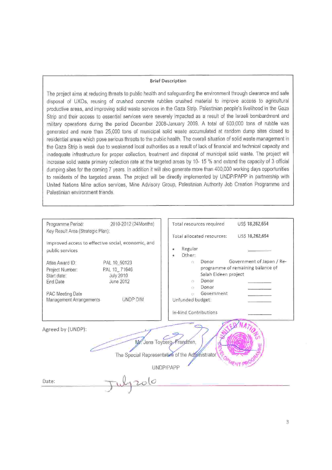#### **Brief Description**

The project aims at reducing threats to public health and safeguarding the environment through clearance and safe disposal of UXOs, reusing of crushed concrete rubbles crushed material to improve access to agricultural productive areas, and improving solid waste services in the Gaza Strip. Palestinian people's livelihood in the Gaza Strip and their access to essential services were severely impacted as a result of the Israeli bombardment and military operations during the period December 2008-January 2009. A total of 600,000 tons of rubble was generated and more than 25,000 tons of municipal solid waste accumulated at random dump sites closed to residential areas which pose serious threats to the public health. The overall situation of solid waste management in the Gaza Strip is weak due to weakened local authorities as a result of lack of financial and technical capacity and inadequate infrastructure for proper collection, treatment and disposal of municipal solid waste. The project will increase solld waste primary collection rate at the targeted areas by 10-15 % and extend the capacity of 3 official dumping sites for the coming 7 years. In addition it will also generate more than 400,000 working days opportunities to residents of the targeted areas. The project will be directly implemented by UNDP/PAPP in partnership with United Nations Mine action services, Mine Advisory Group, Palestinian Authority Job Creation Programme and Palestinian environment friends.

| Programme Period:                 | 2010-2012 (24Months)                               | Total resources required                        | US\$ 18,262,654                   |
|-----------------------------------|----------------------------------------------------|-------------------------------------------------|-----------------------------------|
| Key Result Area (Strategic Plan): |                                                    |                                                 |                                   |
|                                   |                                                    | Total allocated resources:                      | USS 18,262,654                    |
|                                   | Improved access to effective social, economic, and | Regular                                         |                                   |
| public services                   |                                                    | Other:                                          |                                   |
| Atlas Award ID:                   |                                                    | Donor<br>YY.                                    | Government of Japan / Re-         |
|                                   | PAL 10 50123                                       |                                                 | programme of remaining balance of |
| Project Number:                   | PAL 10 71646                                       | Salah Eldeen project                            |                                   |
| Start date:<br><b>End Date</b>    | <b>July 2010</b><br>June 2012                      | Donor<br>W.                                     |                                   |
|                                   |                                                    | Donor<br>Ü)                                     |                                   |
| PAC Meeting Date                  |                                                    | Government<br>TE.                               |                                   |
| Management Arrangements           | UNDP DIM                                           | Unfunded budget:                                |                                   |
|                                   |                                                    |                                                 |                                   |
|                                   |                                                    | In-kind Contributions                           |                                   |
|                                   |                                                    |                                                 |                                   |
|                                   |                                                    |                                                 |                                   |
| Agreed by (UNDP):                 |                                                    |                                                 |                                   |
|                                   |                                                    | Mr. Jens Toyberg-Frandzen,                      |                                   |
|                                   |                                                    |                                                 |                                   |
|                                   |                                                    | The Special Representative of the Administrator |                                   |
|                                   |                                                    |                                                 |                                   |
|                                   |                                                    | UNDP/PAPP                                       |                                   |
| Date:                             |                                                    |                                                 |                                   |
|                                   |                                                    |                                                 |                                   |
|                                   |                                                    |                                                 |                                   |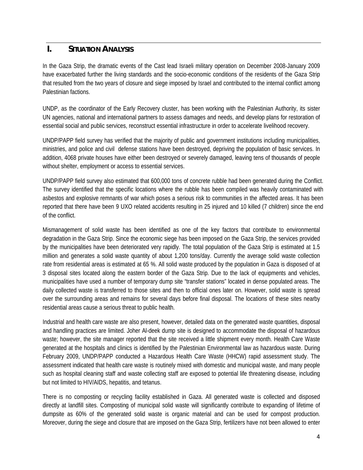# **I. SITUATION ANALYSIS**

In the Gaza Strip, the dramatic events of the Cast lead Israeli military operation on December 2008-January 2009 have exacerbated further the living standards and the socio-economic conditions of the residents of the Gaza Strip that resulted from the two years of closure and siege imposed by Israel and contributed to the internal conflict among Palestinian factions.

UNDP, as the coordinator of the Early Recovery cluster, has been working with the Palestinian Authority, its sister UN agencies, national and international partners to assess damages and needs, and develop plans for restoration of essential social and public services, reconstruct essential infrastructure in order to accelerate livelihood recovery.

UNDP/PAPP field survey has verified that the majority of public and government institutions including municipalities, ministries, and police and civil defense stations have been destroyed, depriving the population of basic services. In addition, 4068 private houses have either been destroyed or severely damaged, leaving tens of thousands of people without shelter, employment or access to essential services.

UNDP/PAPP field survey also estimated that 600,000 tons of concrete rubble had been generated during the Conflict. The survey identified that the specific locations where the rubble has been compiled was heavily contaminated with asbestos and explosive remnants of war which poses a serious risk to communities in the affected areas. It has been reported that there have been 9 UXO related accidents resulting in 25 injured and 10 killed (7 children) since the end of the conflict.

Mismanagement of solid waste has been identified as one of the key factors that contribute to environmental degradation in the Gaza Strip. Since the economic siege has been imposed on the Gaza Strip, the services provided by the municipalities have been deteriorated very rapidly. The total population of the Gaza Strip is estimated at 1.5 million and generates a solid waste quantity of about 1,200 tons/day. Currently the average solid waste collection rate from residential areas is estimated at 65 %. All solid waste produced by the population in Gaza is disposed of at 3 disposal sites located along the eastern border of the Gaza Strip. Due to the lack of equipments and vehicles, municipalities have used a number of temporary dump site "transfer stations" located in dense populated areas. The daily collected waste is transferred to those sites and then to official ones later on. However, solid waste is spread over the surrounding areas and remains for several days before final disposal. The locations of these sites nearby residential areas cause a serious threat to public health.

Industrial and health care waste are also present, however, detailed data on the generated waste quantities, disposal and handling practices are limited. Joher Al-deek dump site is designed to accommodate the disposal of hazardous waste; however, the site manager reported that the site received a little shipment every month. Health Care Waste generated at the hospitals and clinics is identified by the Palestinian Environmental law as hazardous waste. During February 2009, UNDP/PAPP conducted a Hazardous Health Care Waste (HHCW) rapid assessment study. The assessment indicated that health care waste is routinely mixed with domestic and municipal waste, and many people such as hospital cleaning staff and waste collecting staff are exposed to potential life threatening disease, including but not limited to HIV/AIDS, hepatitis, and tetanus.

There is no composting or recycling facility established in Gaza. All generated waste is collected and disposed directly at landfill sites. Composting of municipal solid waste will significantly contribute to expanding of lifetime of dumpsite as 60% of the generated solid waste is organic material and can be used for compost production. Moreover, during the siege and closure that are imposed on the Gaza Strip, fertilizers have not been allowed to enter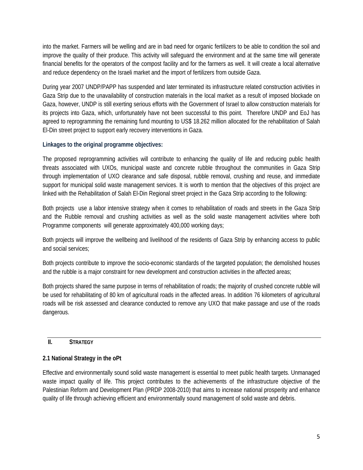into the market. Farmers will be welling and are in bad need for organic fertilizers to be able to condition the soil and improve the quality of their produce. This activity will safeguard the environment and at the same time will generate financial benefits for the operators of the compost facility and for the farmers as well. It will create a local alternative and reduce dependency on the Israeli market and the import of fertilizers from outside Gaza.

During year 2007 UNDP/PAPP has suspended and later terminated its infrastructure related construction activities in Gaza Strip due to the unavailability of construction materials in the local market as a result of imposed blockade on Gaza, however, UNDP is still exerting serious efforts with the Government of Israel to allow construction materials for its projects into Gaza, which, unfortunately have not been successful to this point. Therefore UNDP and EoJ has agreed to reprogramming the remaining fund mounting to US\$ 18.262 million allocated for the rehabilitation of Salah El-Din street project to support early recovery interventions in Gaza.

# **Linkages to the original programme objectives:**

The proposed reprogramming activities will contribute to enhancing the quality of life and reducing public health threats associated with UXOs, municipal waste and concrete rubble throughout the communities in Gaza Strip through implementation of UXO clearance and safe disposal, rubble removal, crushing and reuse, and immediate support for municipal solid waste management services. It is worth to mention that the objectives of this project are linked with the Rehabilitation of Salah El-Din Regional street project in the Gaza Strip according to the following:

Both projects use a labor intensive strategy when it comes to rehabilitation of roads and streets in the Gaza Strip and the Rubble removal and crushing activities as well as the solid waste management activities where both Programme components will generate approximately 400,000 working days;

Both projects will improve the wellbeing and livelihood of the residents of Gaza Strip by enhancing access to public and social services;

Both projects contribute to improve the socio-economic standards of the targeted population; the demolished houses and the rubble is a major constraint for new development and construction activities in the affected areas;

Both projects shared the same purpose in terms of rehabilitation of roads; the majority of crushed concrete rubble will be used for rehabilitating of 80 km of agricultural roads in the affected areas. In addition 76 kilometers of agricultural roads will be risk assessed and clearance conducted to remove any UXO that make passage and use of the roads dangerous.

# **II. STRATEGY**

# **2.1 National Strategy in the oPt**

Effective and environmentally sound solid waste management is essential to meet public health targets. Unmanaged waste impact quality of life. This project contributes to the achievements of the infrastructure objective of the Palestinian Reform and Development Plan (PRDP 2008-2010) that aims to increase national prosperity and enhance quality of life through achieving efficient and environmentally sound management of solid waste and debris.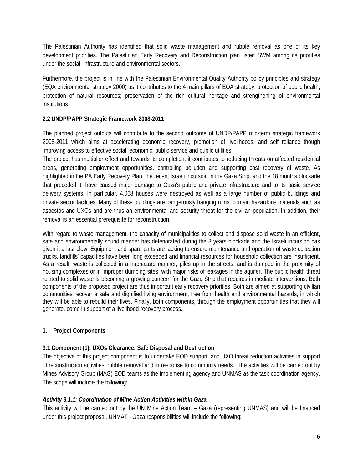The Palestinian Authority has identified that solid waste management and rubble removal as one of its key development priorities. The Palestinian Early Recovery and Reconstruction plan listed SWM among its priorities under the social, infrastructure and environmental sectors.

Furthermore, the project is in line with the Palestinian Environmental Quality Authority policy principles and strategy (EQA environmental strategy 2000) as it contributes to the 4 main pillars of EQA strategy: protection of public health; protection of natural resources; preservation of the rich cultural heritage and strengthening of environmental institutions.

# **2.2 UNDP/PAPP Strategic Framework 2008-2011**

The planned project outputs will contribute to the second outcome of UNDP/PAPP mid-term strategic framework 2008-2011 which aims at accelerating economic recovery, promotion of livelihoods, and self reliance though improving access to effective social, economic, public service and public utilities.

The project has multiplier effect and towards its completion, it contributes to reducing threats on affected residential areas, generating employment opportunities, controlling pollution and supporting cost recovery of waste. As highlighted in the PA Early Recovery Plan, the recent Israeli incursion in the Gaza Strip, and the 18 months blockade that preceded it, have caused major damage to Gaza's public and private infrastructure and to its basic service delivery systems. In particular, 4,068 houses were destroyed as well as a large number of public buildings and private sector facilities. Many of these buildings are dangerously hanging ruins, contain hazardous materials such as asbestos and UXOs and are thus an environmental and security threat for the civilian population. In addition, their removal is an essential prerequisite for reconstruction.

With regard to waste management, the capacity of municipalities to collect and dispose solid waste in an efficient, safe and environmentally sound manner has deteriorated during the 3 years blockade and the Israeli incursion has given it a last blow. Equipment and spare parts are lacking to ensure maintenance and operation of waste collection trucks, landfills' capacities have been long exceeded and financial resources for household collection are insufficient. As a result, waste is collected in a haphazard manner, piles up in the streets, and is dumped in the proximity of housing complexes or in improper dumping sites, with major risks of leakages in the aquifer. The public health threat related to solid waste is becoming a growing concern for the Gaza Strip that requires immediate interventions. Both components of the proposed project are thus important early recovery priorities. Both are aimed at supporting civilian communities recover a safe and dignified living environment, free from health and environmental hazards, in which they will be able to rebuild their lives. Finally, both components, through the employment opportunities that they will generate, come in support of a livelihood recovery process.

### **1. Project Components**

### **3.1 Component (1): UXOs Clearance, Safe Disposal and Destruction**

The objective of this project component is to undertake EOD support, and UXO threat reduction activities in support of reconstruction activities, rubble removal and in response to community needs. The activities will be carried out by Mines Advisory Group (MAG) EOD teams as the implementing agency and UNMAS as the task coordination agency. The scope will include the following**:** 

### *Activity 3.1.1: Coordination of Mine Action Activities within Gaza*

This activity will be carried out by the UN Mine Action Team – Gaza (representing UNMAS) and will be financed under this project proposal. UNMAT - Gaza responsibilities will include the following: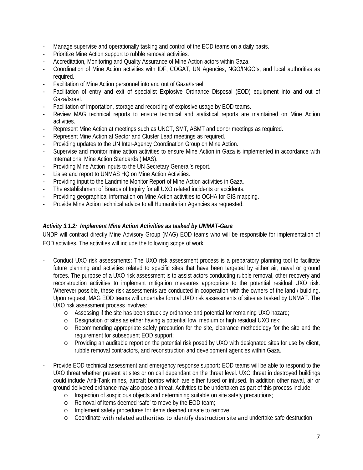- Manage supervise and operationally tasking and control of the EOD teams on a daily basis.
- Prioritize Mine Action support to rubble removal activities.
- Accreditation, Monitoring and Quality Assurance of Mine Action actors within Gaza.
- Coordination of Mine Action activities with IDF, COGAT, UN Agencies, NGO/INGO's, and local authorities as required.
- Facilitation of Mine Action personnel into and out of Gaza/Israel.
- Facilitation of entry and exit of specialist Explosive Ordnance Disposal (EOD) equipment into and out of Gaza/Israel.
- Facilitation of importation, storage and recording of explosive usage by EOD teams.
- Review MAG technical reports to ensure technical and statistical reports are maintained on Mine Action activities.
- Represent Mine Action at meetings such as UNCT, SMT, ASMT and donor meetings as required.
- Represent Mine Action at Sector and Cluster Lead meetings as required.
- Providing updates to the UN Inter-Agency Coordination Group on Mine Action.
- Supervise and monitor mine action activities to ensure Mine Action in Gaza is implemented in accordance with International Mine Action Standards (IMAS).
- Providing Mine Action inputs to the UN Secretary General's report.
- Liaise and report to UNMAS HQ on Mine Action Activities.
- Providing input to the Landmine Monitor Report of Mine Action activities in Gaza.
- The establishment of Boards of Inquiry for all UXO related incidents or accidents.
- Providing geographical information on Mine Action activities to OCHA for GIS mapping.
- Provide Mine Action technical advice to all Humanitarian Agencies as requested.

### *Activity 3.1.2: Implement Mine Action Activities as tasked by UNMAT-Gaza*

UNDP will contract directly Mine Advisory Group (MAG) EOD teams who will be responsible for implementation of EOD activities. The activities will include the following scope of work:

- Conduct UXO risk assessments**:** The UXO risk assessment process is a preparatory planning tool to facilitate future planning and activities related to specific sites that have been targeted by either air, naval or ground forces. The purpose of a UXO risk assessment is to assist actors conducting rubble removal, other recovery and reconstruction activities to implement mitigation measures appropriate to the potential residual UXO risk. Wherever possible, these risk assessments are conducted in cooperation with the owners of the land / building. Upon request, MAG EOD teams will undertake formal UXO risk assessments of sites as tasked by UNMAT. The UXO risk assessment process involves:
	- o Assessing if the site has been struck by ordnance and potential for remaining UXO hazard;
	- o Designation of sites as either having a potential low, medium or high residual UXO risk;
	- o Recommending appropriate safely precaution for the site, clearance methodology for the site and the requirement for subsequent EOD support;
	- o Providing an auditable report on the potential risk posed by UXO with designated sites for use by client, rubble removal contractors, and reconstruction and development agencies within Gaza.
- Provide EOD technical assessment and emergency response support**:** EOD teams will be able to respond to the UXO threat whether present at sites or on call dependant on the threat level. UXO threat in destroyed buildings could include Anti-Tank mines, aircraft bombs which are either fused or infused. In addition other naval, air or ground delivered ordnance may also pose a threat. Activities to be undertaken as part of this process include:
	- o Inspection of suspicious objects and determining suitable on site safety precautions;
	- o Removal of items deemed 'safe' to move by the EOD team;
	- o Implement safety procedures for items deemed unsafe to remove
	- o Coordinate with related authorities to identify destruction site and undertake safe destruction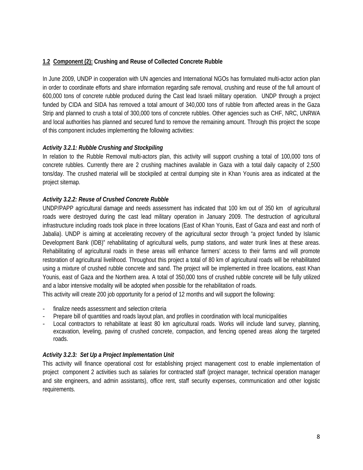# **1.2 Component (2): Crushing and Reuse of Collected Concrete Rubble**

In June 2009, UNDP in cooperation with UN agencies and International NGOs has formulated multi-actor action plan in order to coordinate efforts and share information regarding safe removal, crushing and reuse of the full amount of 600,000 tons of concrete rubble produced during the Cast lead Israeli military operation. UNDP through a project funded by CIDA and SIDA has removed a total amount of 340,000 tons of rubble from affected areas in the Gaza Strip and planned to crush a total of 300,000 tons of concrete rubbles. Other agencies such as CHF, NRC, UNRWA and local authorities has planned and secured fund to remove the remaining amount. Through this project the scope of this component includes implementing the following activities:

# *Activity 3.2.1: Rubble Crushing and Stockpiling*

In relation to the Rubble Removal multi-actors plan, this activity will support crushing a total of 100,000 tons of concrete rubbles. Currently there are 2 crushing machines available in Gaza with a total daily capacity of 2,500 tons/day. The crushed material will be stockpiled at central dumping site in Khan Younis area as indicated at the project sitemap.

# *Activity 3.2.2: Reuse of Crushed Concrete Rubble*

UNDP/PAPP agricultural damage and needs assessment has indicated that 100 km out of 350 km of agricultural roads were destroyed during the cast lead military operation in January 2009. The destruction of agricultural infrastructure including roads took place in three locations (East of Khan Younis, East of Gaza and east and north of Jabalia). UNDP is aiming at accelerating recovery of the agricultural sector through "a project funded by Islamic Development Bank (IDB)" rehabilitating of agricultural wells, pump stations, and water trunk lines at these areas. Rehabilitating of agricultural roads in these areas will enhance farmers' access to their farms and will promote restoration of agricultural livelihood. Throughout this project a total of 80 km of agricultural roads will be rehabilitated using a mixture of crushed rubble concrete and sand. The project will be implemented in three locations, east Khan Younis, east of Gaza and the Northern area. A total of 350,000 tons of crushed rubble concrete will be fully utilized and a labor intensive modality will be adopted when possible for the rehabilitation of roads.

This activity will create 200 job opportunity for a period of 12 months and will support the following:

- finalize needs assessment and selection criteria
- Prepare bill of quantities and roads layout plan, and profiles in coordination with local municipalities
- Local contractors to rehabilitate at least 80 km agricultural roads. Works will include land survey, planning, excavation, leveling, paving of crushed concrete, compaction, and fencing opened areas along the targeted roads.

# *Activity 3.2.3: Set Up a Project Implementation Unit*

This activity will finance operational cost for establishing project management cost to enable implementation of project component 2 activities such as salaries for contracted staff (project manager, technical operation manager and site engineers, and admin assistants), office rent, staff security expenses, communication and other logistic requirements.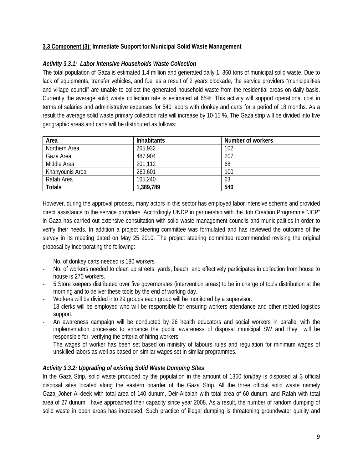# **3.3 Component (3): Immediate Support for Municipal Solid Waste Management**

# *Activity 3.3.1: Labor Intensive Households Waste Collection*

The total population of Gaza is estimated 1.4 million and generated daily 1, 360 tons of municipal solid waste. Due to lack of equipments, transfer vehicles, and fuel as a result of 2 years blockade, the service providers "municipalities and village council" are unable to collect the generated household waste from the residential areas on daily basis. Currently the average solid waste collection rate is estimated at 65%. This activity will support operational cost in terms of salaries and administrative expenses for 540 labors with donkey and carts for a period of 18 months. As a result the average solid waste primary collection rate will increase by 10-15 %. The Gaza strip will be divided into five geographic areas and carts will be distributed as follows:

| Area            | <b>Inhabitants</b> | Number of workers |
|-----------------|--------------------|-------------------|
| Northern Area   | 265,932            | 102               |
| Gaza Area       | 487,904            | 207               |
| Middle Area     | 201,112            | 68                |
| Khanyounis Area | 269,601            | 100               |
| Rafah Area      | 165,240            | 63                |
| <b>Totals</b>   | 1,389,789          | 540               |

However, during the approval process, many actors in this sector has employed labor intensive scheme and provided direct assistance to the service providers. Accordingly UNDP in partnership with the Job Creation Programme "JCP" in Gaza has carried out extensive consultation with solid waste management councils and municipalities in order to verify their needs. In addition a project steering committee was formulated and has reviewed the outcome of the survey in its meeting dated on May 25 2010. The project steering committee recommended revising the original proposal by incorporating the following:

- ‐ No. of donkey carts needed is 180 workers
- No. of workers needed to clean up streets, yards, beach, and effectively participates in collection from house to house is 270 workers.
- ‐ 5 Store keepers distributed over five governorates (intervention areas) to be in charge of tools distribution at the morning and to deliver these tools by the end of working day.
- Workers will be divided into 29 groups each group will be monitored by a supervisor.
- 18 clerks will be employed who will be responsible for ensuring workers attendance and other related logistics support.
- ‐ An awareness campaign will be conducted by 26 health educators and social workers in parallel with the implementation processes to enhance the public awareness of disposal municipal SW and they will be responsible for verifying the criteria of hiring workers.
- The wages of worker has been set based on ministry of labours rules and regulation for minimum wages of unskilled labors as well as based on similar wages set in similar programmes.

### *Activity 3.3.2: Upgrading of existing Solid Waste Dumping Sites*

In the Gaza Strip, solid waste produced by the population in the amount of 1360 ton/day is disposed at 3 official disposal sites located along the eastern boarder of the Gaza Strip. All the three official solid waste namely Gaza\_Joher Al-deek with total area of 140 dunum, Deir-Albalah with total area of 60 dunum, and Rafah with total area of 27 dunum have approached their capacity since year 2008. As a result, the number of random dumping of solid waste in open areas has increased. Such practice of illegal dumping is threatening groundwater quality and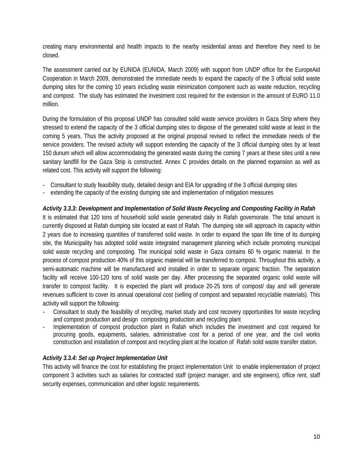creating many environmental and health impacts to the nearby residential areas and therefore they need to be closed.

The assessment carried out by EUNIDA (EUNIDA, March 2009) with support from UNDP office for the EuropeAid Cooperation in March 2009, demonstrated the immediate needs to expand the capacity of the 3 official solid waste dumping sites for the coming 10 years including waste minimization component such as waste reduction, recycling and compost. The study has estimated the investment cost required for the extension in the amount of EURO 11.0 million.

During the formulation of this proposal UNDP has consulted solid waste service providers in Gaza Strip where they stressed to extend the capacity of the 3 official dumping sites to dispose of the generated solid waste at least in the coming 5 years. Thus the activity proposed at the original proposal revised to reflect the immediate needs of the service providers. The revised activity will support extending the capacity of the 3 official dumping sites by at least 150 dunum which will allow accommodating the generated waste during the coming 7 years at these sites until a new sanitary landfill for the Gaza Strip is constructed. Annex C provides details on the planned expansion as well as related cost. This activity will support the following:

- Consultant to study feasibility study, detailed design and EIA for upgrading of the 3 official dumping sites
- extending the capacity of the existing dumping site and implementation of mitigation measures

# *Activity 3.3.3: Development and Implementation of Solid Waste Recycling and Composting Facility in Rafah*

It is estimated that 120 tons of household solid waste generated daily in Rafah governorate. The total amount is currently disposed at Rafah dumping site located at east of Rafah. The dumping site will approach its capacity within 2 years due to increasing quantities of transferred solid waste. In order to expand the span life time of its dumping site, the Municipality has adopted solid waste integrated management planning which include promoting municipal solid waste recycling and composting. The municipal solid waste in Gaza contains 60 % organic material. In the process of compost production 40% of this organic material will be transferred to compost. Throughout this activity, a semi-automatic machine will be manufactured and installed in order to separate organic fraction. The separation facility will receive 100-120 tons of solid waste per day. After processing the separated organic solid waste will transfer to compost facility. It is expected the plant will produce 20-25 tons of compost/ day and will generate revenues sufficient to cover its annual operational cost (selling of compost and separated recyclable materials). This activity will support the following:

- Consultant to study the feasibility of recycling, market study and cost recovery opportunities for waste recycling and compost production and design composting production and recycling plant
- Implementation of compost production plant in Rafah which includes the investment and cost required for procuring goods, equipments, salaries, administrative cost for a period of one year, and the civil works construction and installation of compost and recycling plant at the location of Rafah solid waste transfer station.

### *Activity 3.3.4: Set up Project Implementation Unit*

This activity will finance the cost for establishing the project implementation Unit to enable implementation of project component 3 activities such as salaries for contracted staff (project manager, and site engineers), office rent, staff security expenses, communication and other logistic requirements.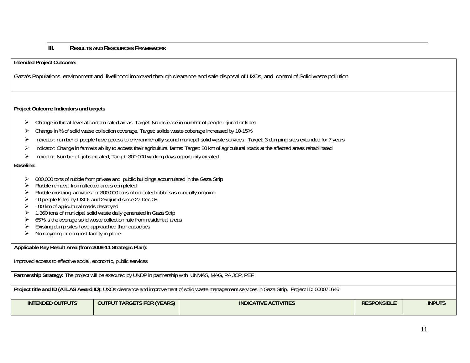### **RESULTS AND RESOURCES FRAMEWORK**

**Intended Project Outcome:** 

**III.**

Gaza's Populations environment and livelihood improved through clearance and safe disposal of UXOs, and control of Solid waste pollution

### **Project Outcome Indicators and targets**

- $\blacktriangleright$ Change in threat level at contaminated areas, Target: No increase in number of people injured or killed
- ¾Change in % of solid watse collection coverage, Target: solide waste coberage increased by 10-15%
- ¾Indicator: number of people have access to environmenatlly sound municpal solid waste services , Target: 3 dumping sites extended for 7 years
- ¾Indicator: Change in farmers ability to access their agricultural farms: Target: 80 km of agricultural roads at the affected areas rehabilitated
- ¾Indicator: Number of jobs created, Target: 300,000 working days opportunity created

#### **Baseline:**

- $\triangleright$  600,000 tons of rubble from private and public buildings accumulated in the Gaza Strip
- $\triangleright$  Rubble removal from affected areas completed
- ¾ Rubble crushing activities for 300,000 tons of collected rubbles is currently ongoing
- ¾ 10 people killed by UXOs and 25injured since 27 Dec 08.
- ¾ 100 km of agricultural roads destroyed
- $\geq$  1,360 tons of municipal solid waste daily generated in Gaza Strip
- $\geq$  65% is the average solid waste collection rate from residential areas
- $\blacktriangleright$ Existing dump sites have approached their capacities
- ¾No recycling or compost facility in place

**Applicable Key Result Area (from 2008-11 Strategic Plan):** 

Improved access to effective social, economic, public services

**Partnership Strategy:** The project will be executed by UNDP in partnership with UNMAS, MAG, PA JCP, PEF

**Project title and ID (ATLAS Award ID):** UXOs clearance and improvement of solid waste management services in Gaza Strip. Project ID: 000071646

| <b>INTENDED OUTPUTS</b> | <b>(YEARS)</b><br><b>TARGETS FOR I</b><br><b>OUT</b><br><b>TPUT</b> | <b>INDICATIVE ACTIVITIES</b> | <b>SPONSIBLE</b><br>N | <b>INPUTS</b> |
|-------------------------|---------------------------------------------------------------------|------------------------------|-----------------------|---------------|
|                         |                                                                     |                              |                       |               |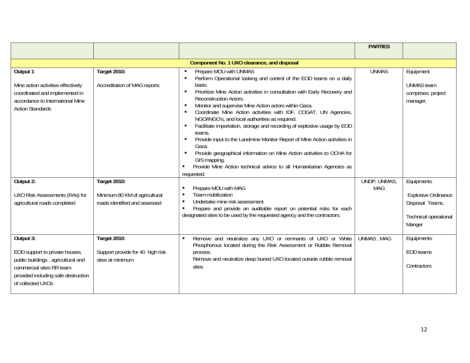|                                                                                                                                                                           |                                                                                |                                                                                                                                                                                                                                                                                                                                                                                                                                                                                                                                                                                                                                                                                                                                                                | <b>PARTIES</b>             |                                                                                                |
|---------------------------------------------------------------------------------------------------------------------------------------------------------------------------|--------------------------------------------------------------------------------|----------------------------------------------------------------------------------------------------------------------------------------------------------------------------------------------------------------------------------------------------------------------------------------------------------------------------------------------------------------------------------------------------------------------------------------------------------------------------------------------------------------------------------------------------------------------------------------------------------------------------------------------------------------------------------------------------------------------------------------------------------------|----------------------------|------------------------------------------------------------------------------------------------|
|                                                                                                                                                                           |                                                                                |                                                                                                                                                                                                                                                                                                                                                                                                                                                                                                                                                                                                                                                                                                                                                                |                            |                                                                                                |
|                                                                                                                                                                           |                                                                                | Component No. 1 UXO clearance, and disposal                                                                                                                                                                                                                                                                                                                                                                                                                                                                                                                                                                                                                                                                                                                    |                            |                                                                                                |
| Output 1<br>Mine action activities effectively<br>coordinated and implemented in<br>accordance to International Mine<br><b>Action Standards</b>                           | Target 2010:<br>Accreditation of MAG reports                                   | Prepare MOU with UNMAS<br>Perform Operational tasking and control of the EOD teams on a daily<br>basis.<br>Prioritize Mine Action activities in consultation with Early Recovery and<br><b>Reconstruction Actors.</b><br>Monitor and supervise Mine Action actors within Gaza.<br>Coordinate Mine Action activities with IDF, COGAT, UN Agencies,<br>NGO/INGO's, and local authorities as required.<br>Facilitate importation, storage and recording of explosive usage by EOD<br>teams.<br>Provide input to the Landmine Monitor Report of Mine Action activities in<br>Gaza.<br>Provide geographical information on Mine Action activities to OCHA for<br>GIS mapping.<br>Provide Mine Action technical advice to all Humanitarian Agencies as<br>requested. | <b>UNMAS</b>               | Equipment<br><b>UNMAS</b> team<br>comprises, project<br>manager,                               |
| Output 2:<br>UXO Risk Assessments (RAs) for<br>agricultural roads completed                                                                                               | Target 2010:<br>Minimum 80 KM of agricultural<br>roads identified and assessed | Prepare MOU with MAG<br>Team mobilization<br>$\blacksquare$<br>Undertake mine risk assessment<br>$\blacksquare$<br>Prepare and provide an auditable report on potential risks for each<br>designated sites to be used by the requested agency and the contractors.                                                                                                                                                                                                                                                                                                                                                                                                                                                                                             | UNDP, UNMAS,<br><b>MAG</b> | Equipments<br><b>Explosive Ordinance</b><br>Disposal Teams,<br>Technical operational<br>Manger |
| Output 3:<br>EOD support to private houses,<br>public buildings, agricultural and<br>commercial sites RR team<br>provided including safe destruction<br>of collected UXOs | Target 2010:<br>Support provide for 40 high risk<br>sites at minimum           | Remove and neutralize any UXO or remnants of UXO or White<br>Phosphorous located during the Risk Assessment or Rubble Removal<br>process.<br>Remove and neutralize deep buried UXO located outside rubble removal<br>sites                                                                                                                                                                                                                                                                                                                                                                                                                                                                                                                                     | <b>UNMAS, MAG</b>          | Equipments<br><b>EOD</b> teams<br>Contractors                                                  |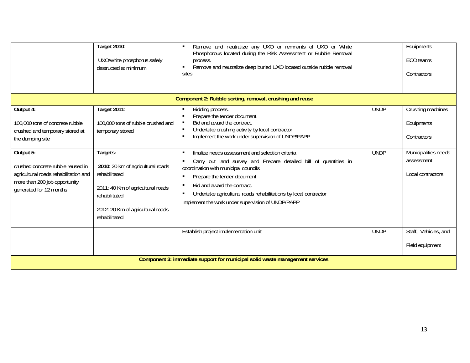|                                                                                                                                                     | <b>Target 2010:</b><br>UXO/white phosphorus safely<br>destructed at minimum                                                                                                | Remove and neutralize any UXO or remnants of UXO or White<br>Phosphorous located during the Risk Assessment or Rubble Removal<br>process.<br>Remove and neutralize deep buried UXO located outside rubble removal<br>sites                                                                                                                                                  |             | Equipments<br>EOD teams<br>Contractors                  |  |  |  |  |  |
|-----------------------------------------------------------------------------------------------------------------------------------------------------|----------------------------------------------------------------------------------------------------------------------------------------------------------------------------|-----------------------------------------------------------------------------------------------------------------------------------------------------------------------------------------------------------------------------------------------------------------------------------------------------------------------------------------------------------------------------|-------------|---------------------------------------------------------|--|--|--|--|--|
|                                                                                                                                                     |                                                                                                                                                                            | Component 2: Rubble sorting, removal, crushing and reuse                                                                                                                                                                                                                                                                                                                    |             |                                                         |  |  |  |  |  |
| Output 4:<br>100,000 tons of concrete rubble<br>crushed and temporary stored at<br>the dumping site                                                 | Target 2011:<br>100,000 tons of rubble crushed and<br>temporary stored                                                                                                     | Bidding process.<br>Prepare the tender document.<br>Bid and award the contract.<br>Undertake crushing activity by local contractor<br>٠<br>Implement the work under supervision of UNDP/PAPP.                                                                                                                                                                               | <b>UNDP</b> | Crushing machines<br>Equipments<br>Contractors          |  |  |  |  |  |
| Output 5:<br>crushed concrete rubble reused in<br>agricultural roads rehabilitation and<br>more than 200 job opportunity<br>generated for 12 months | Targets:<br>2010: 20 km of agricultural roads<br>rehabilitated<br>2011: 40 Km of agricultural roads<br>rehabilitated<br>2012: 20 Km of agricultural roads<br>rehabilitated | finalize needs assessment and selection criteria<br>$\blacksquare$<br>Carry out land survey and Prepare detailed bill of quantities in<br>coordination with municipal councils<br>Prepare the tender document.<br>Bid and award the contract.<br>Undertake agricultural roads rehabilitations by local contractor<br>٠<br>Implement the work under supervision of UNDP/PAPP | <b>UNDP</b> | Municipalities needs<br>assessment<br>Local contractors |  |  |  |  |  |
|                                                                                                                                                     |                                                                                                                                                                            | Establish project implementation unit                                                                                                                                                                                                                                                                                                                                       | <b>UNDP</b> | Staff, Vehicles, and<br>Field equipment                 |  |  |  |  |  |
| Component 3: immediate support for municipal solid waste management services                                                                        |                                                                                                                                                                            |                                                                                                                                                                                                                                                                                                                                                                             |             |                                                         |  |  |  |  |  |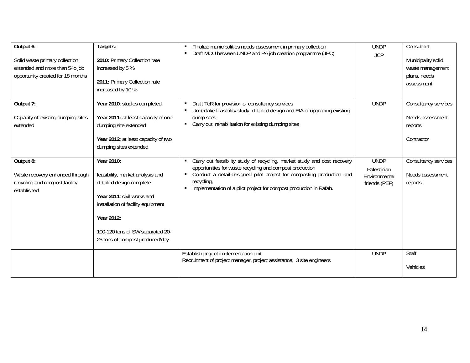| Output 6:<br>Solid waste primary collection<br>extended and more than 54o job<br>opportunity created for 18 months | Targets:<br>2010: Primary Collection rate<br>increased by 5 %<br>2011: Primary Collection rate<br>increased by 10 %                                                                                                                 | Finalize municipalities needs assessment in primary collection<br>٠<br>Draft MOU between UNDP and PA job creation programme (JPC)<br>$\blacksquare$                                                                                                                                                    | <b>UNDP</b><br><b>JCP</b>                                    | Consultant<br>Municipality solid<br>waste management<br>plans, needs<br>assessment |
|--------------------------------------------------------------------------------------------------------------------|-------------------------------------------------------------------------------------------------------------------------------------------------------------------------------------------------------------------------------------|--------------------------------------------------------------------------------------------------------------------------------------------------------------------------------------------------------------------------------------------------------------------------------------------------------|--------------------------------------------------------------|------------------------------------------------------------------------------------|
| Output 7:<br>Capacity of existing dumping sites<br>extended                                                        | Year 2010: studies completed<br>Year 2011: at least capacity of one<br>dumping site extended<br>Year 2012: at least capacity of two<br>dumping sites extended                                                                       | Draft ToR for provision of consultancy services<br>Undertake feasibility study, detailed design and EIA of upgrading existing<br>dump sites<br>Carry out rehabilitation for existing dumping sites<br>٠                                                                                                | <b>UNDP</b>                                                  | Consultancy services<br>Needs assessment<br>reports<br>Contractor                  |
| Output 8:<br>Waste recovery enhanced through<br>recycling and compost facility<br>established                      | Year 2010:<br>feasibility, market analysis and<br>detailed design complete<br>Year 2011: civil works and<br>installation of facility equipment<br>Year 2012:<br>100-120 tons of SW separated 20-<br>25 tons of compost produced/day | Carry out feasibility study of recycling, market study and cost recovery<br>٠<br>opportunities for waste recycling and compost production<br>Conduct a detail-designed pilot project for composting production and<br>recycling,<br>Implementation of a pilot project for compost production in Rafah. | <b>UNDP</b><br>Palestinian<br>Environmental<br>friends (PEF) | Consultancy services<br>Needs assessment<br>reports                                |
|                                                                                                                    |                                                                                                                                                                                                                                     | Establish project implementation unit<br>Recruitment of project manager, project assistance, 3 site engineers                                                                                                                                                                                          | <b>UNDP</b>                                                  | Staff<br>Vehicles                                                                  |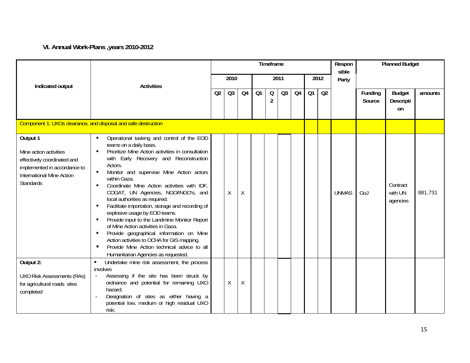# **VI. Annual Work-Plans ,years 2010-2012**

|                                                                                                                                                           |                                                                                                                                                                                                                                                                                                                                                                                                                                                                                                                                                                                                                                                                                                                                                                                                | Timeframe |                |    |      |                     |                |      |    |       | Respon<br>sible | <b>Planned Budget</b> |                                  |         |
|-----------------------------------------------------------------------------------------------------------------------------------------------------------|------------------------------------------------------------------------------------------------------------------------------------------------------------------------------------------------------------------------------------------------------------------------------------------------------------------------------------------------------------------------------------------------------------------------------------------------------------------------------------------------------------------------------------------------------------------------------------------------------------------------------------------------------------------------------------------------------------------------------------------------------------------------------------------------|-----------|----------------|----|------|---------------------|----------------|------|----|-------|-----------------|-----------------------|----------------------------------|---------|
| Indicated output                                                                                                                                          | <b>Activities</b>                                                                                                                                                                                                                                                                                                                                                                                                                                                                                                                                                                                                                                                                                                                                                                              | 2010      |                |    | 2011 |                     |                | 2012 |    | Party |                 |                       |                                  |         |
|                                                                                                                                                           |                                                                                                                                                                                                                                                                                                                                                                                                                                                                                                                                                                                                                                                                                                                                                                                                | Q2        | Q <sub>3</sub> | Q4 | Q1   | Q<br>$\overline{2}$ | Q <sub>3</sub> | Q4   | Q1 | Q2    |                 | Funding<br>Source     | <b>Budget</b><br>Descripti<br>on | amounts |
|                                                                                                                                                           | Component 1: UXOs clearance, and disposal and safe destruction                                                                                                                                                                                                                                                                                                                                                                                                                                                                                                                                                                                                                                                                                                                                 |           |                |    |      |                     |                |      |    |       |                 |                       |                                  |         |
| Output 1<br>Mine action activities<br>effectively coordinated and<br>implemented in accordance to<br><b>International Mine Action</b><br><b>Standards</b> | Operational tasking and control of the EOD<br>teams on a daily basis.<br>Prioritize Mine Action activities in consultation<br>$\blacksquare$<br>with Early Recovery and Reconstruction<br>Actors.<br>Monitor and supervise Mine Action actors<br>$\blacksquare$<br>within Gaza.<br>Coordinate Mine Action activities with IDF,<br>$\blacksquare$<br>COGAT, UN Agencies, NGO/INGO's, and<br>local authorities as required.<br>Facilitate importation, storage and recording of<br>explosive usage by EOD teams.<br>Provide input to the Landmine Monitor Report<br>of Mine Action activities in Gaza.<br>Provide geographical information on Mine<br>٠<br>Action activities to OCHA for GIS mapping.<br>Provide Mine Action technical advice to all<br>٠<br>Humanitarian Agencies as requested. |           | χ              | Χ  |      |                     |                |      |    |       | <b>UNMAS</b>    | GoJ                   | Contract<br>with UN<br>agencies  | 881,731 |
| Output 2:<br><b>UXO Risk Assessments (RAs)</b><br>for agricultural roads sites<br>completed                                                               | Undertake mine risk assessment, the process<br>involves<br>Assessing if the site has been struck by<br>$\omega$<br>ordnance and potential for remaining UXO<br>hazard;<br>Designation of sites as either having a<br>potential low, medium or high residual UXO<br>risk:                                                                                                                                                                                                                                                                                                                                                                                                                                                                                                                       |           | X              | Χ  |      |                     |                |      |    |       |                 |                       |                                  |         |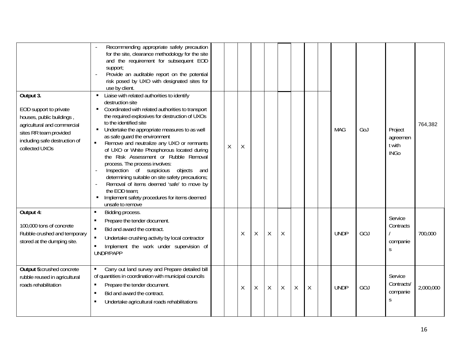|                                                                                                                                                                              | Recommending appropriate safely precaution<br>for the site, clearance methodology for the site<br>and the requirement for subsequent EOD<br>support;<br>Provide an auditable report on the potential<br>risk posed by UXO with designated sites for<br>use by client.                                                                                                                                                                                                                                                                                                                                                                                                                                                                            |         |         |        |         |   |         |        |             |     |                                              |           |
|------------------------------------------------------------------------------------------------------------------------------------------------------------------------------|--------------------------------------------------------------------------------------------------------------------------------------------------------------------------------------------------------------------------------------------------------------------------------------------------------------------------------------------------------------------------------------------------------------------------------------------------------------------------------------------------------------------------------------------------------------------------------------------------------------------------------------------------------------------------------------------------------------------------------------------------|---------|---------|--------|---------|---|---------|--------|-------------|-----|----------------------------------------------|-----------|
| Output 3.<br>EOD support to private<br>houses, public buildings,<br>agricultural and commercial<br>sites RR team provided<br>including safe destruction of<br>collected UXOs | Liaise with related authorities to identify<br>destruction site<br>Coordinated with related authorities to transport<br>$\blacksquare$<br>the required explosives for destruction of UXOs<br>to the identified site<br>Undertake the appropriate measures to as well<br>as safe guard the environment<br>$\blacksquare$<br>Remove and neutralize any UXO or remnants<br>of UXO or White Phosphorous located during<br>the Risk Assessment or Rubble Removal<br>process. The process involves:<br>Inspection of suspicious objects<br>and<br>determining suitable on site safety precautions;<br>Removal of items deemed 'safe' to move by<br>the EOD team:<br>Implement safety procedures for items deemed<br>$\blacksquare$<br>unsafe to remove | $\sf X$ | Χ       |        |         |   |         |        | <b>MAG</b>  | GoJ | Project<br>agreemen<br>t with<br><b>INGo</b> | 764,382   |
| Output 4:<br>100,000 tons of concrete<br>Rubble crushed and temporary<br>stored at the dumping site.                                                                         | Bidding process.<br>$\blacksquare$<br>Prepare the tender document.<br>Bid and award the contract.<br>Undertake crushing activity by local contractor<br>Implement the work under supervision of<br>UNDP/PAPP                                                                                                                                                                                                                                                                                                                                                                                                                                                                                                                                     |         | $\sf X$ | $\chi$ | $\sf X$ | Χ |         |        | <b>UNDP</b> | GOJ | Service<br>Contracts<br>companie<br>S        | 700,000   |
| <b>Output 5:crushed concrete</b><br>rubble reused in agricultural<br>roads rehabilitation                                                                                    | Carry out land survey and Prepare detailed bill<br>of quantities in coordination with municipal councils<br>Prepare the tender document.<br>Bid and award the contract.<br>Undertake agricultural roads rehabilitations<br>п                                                                                                                                                                                                                                                                                                                                                                                                                                                                                                                     |         | Χ       | $\chi$ | X       | X | $\sf X$ | $\chi$ | <b>UNDP</b> | GOJ | Service<br>Contracts/<br>companie<br>S       | 2,000,000 |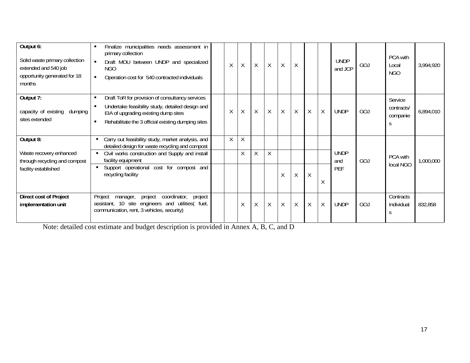| Output 6:<br>Solid waste primary collection<br>extended and 540 job<br>opportunity generated for 18<br>months | Finalize municipalities needs assessment in<br>primary collection<br>Draft MOU between UNDP and specialized<br><b>NGO</b><br>Operation cost for 540 contracted individuals<br>$\blacksquare$      | $\sf X$ | $\sf X$ | $\mathsf{X}$ | Χ            | Χ       | $\mathsf X$  |         |        | <b>UNDP</b><br>and JCP | GOJ | PCA with<br>Local<br><b>NGO</b>        | 3,994,920 |
|---------------------------------------------------------------------------------------------------------------|---------------------------------------------------------------------------------------------------------------------------------------------------------------------------------------------------|---------|---------|--------------|--------------|---------|--------------|---------|--------|------------------------|-----|----------------------------------------|-----------|
| Output 7:<br>capacity of existing<br>dumping<br>sites extended                                                | Draft ToR for provision of consultancy services<br>Undertake feasibility study, detailed design and<br>EIA of upgrading existing dump sites<br>Rehabilitate the 3 official existing dumping sites | X       | $\sf X$ | X            | $\mathsf{X}$ | $\sf X$ | $\mathsf{X}$ | $\sf X$ | $\chi$ | <b>UNDP</b>            | GOJ | Service<br>contracts/<br>companie<br>S | 6,894,010 |
| Output 8:                                                                                                     | Carry out feasibility study, market analysis, and<br>п.<br>detailed design for waste recycling and compost                                                                                        | $\chi$  | X       |              |              |         |              |         |        |                        |     |                                        |           |
| Waste recovery enhanced<br>through recycling and compost                                                      | Civil works construction and Supply and install<br>$\blacksquare$<br>facility equipment                                                                                                           |         | X       | Χ            | Χ            |         |              |         |        | <b>UNDP</b><br>and     | GOJ | PCA with                               | 1,000,000 |
| facility established                                                                                          | Support operational cost for compost and<br>$\blacksquare$<br>recycling facility                                                                                                                  |         |         |              |              | X       | $\sf X$      | Χ       | X      | PEF                    |     | local NGO                              |           |
| Direct cost of Project<br>implementation unit                                                                 | Project<br>coordinator,<br>project<br>project<br>manager,<br>assistant, 10 site engineers and utilities( fuel,<br>communication, rent, 3 vehicles, security)                                      |         | $\sf X$ | X            | Χ            | X       | $\sf X$      | Χ       | Χ      | <b>UNDP</b>            | GOJ | Contracts<br>Individual                | 832,858   |

Note: detailed cost estimate and budget description is provided in Annex A, B, C, and D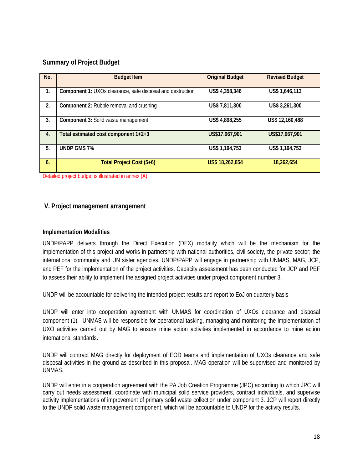# **Summary of Project Budget**

| No. | <b>Budget Item</b>                                         | <b>Original Budget</b> | <b>Revised Budget</b> |
|-----|------------------------------------------------------------|------------------------|-----------------------|
| 1.  | Component 1: UXOs clearance, safe disposal and destruction | US\$ 4,358,346         | US\$ 1,646,113        |
| 2.  | <b>Component 2: Rubble removal and crushing</b>            | US\$ 7,811,300         | US\$ 3,261,300        |
| 3.  | Component 3: Solid waste management                        | US\$ 4,898,255         | US\$ 12,160,488       |
| 4.  | Total estimated cost component 1+2+3                       | US\$17,067,901         | US\$17,067,901        |
| 5.  | <b>UNDP GMS 7%</b>                                         | US\$ 1,194,753         | US\$ 1,194,753        |
| 6.  | Total Project Cost (5+6)                                   | US\$ 18,262,654        | 18,262,654            |

Detailed project budget is illustrated in annex (A).

# **V. Project management arrangement**

### **Implementation Modalities**

UNDP/PAPP delivers through the Direct Execution (DEX) modality which will be the mechanism for the implementation of this project and works in partnership with national authorities, civil society, the private sector; the international community and UN sister agencies. UNDP/PAPP will engage in partnership with UNMAS, MAG, JCP, and PEF for the implementation of the project activities. Capacity assessment has been conducted for JCP and PEF to assess their ability to implement the assigned project activities under project component number 3.

UNDP will be accountable for delivering the intended project results and report to EoJ on quarterly basis

UNDP will enter into cooperation agreement with UNMAS for coordination of UXOs clearance and disposal component (1). UNMAS will be responsible for operational tasking, managing and monitoring the implementation of UXO activities carried out by MAG to ensure mine action activities implemented in accordance to mine action international standards.

UNDP will contract MAG directly for deployment of EOD teams and implementation of UXOs clearance and safe disposal activities in the ground as described in this proposal. MAG operation will be supervised and monitored by UNMAS.

UNDP will enter in a cooperation agreement with the PA Job Creation Programme (JPC) according to which JPC will carry out needs assessment, coordinate with municipal solid service providers, contract individuals, and supervise activity implementations of improvement of primary solid waste collection under component 3. JCP will report directly to the UNDP solid waste management component, which will be accountable to UNDP for the activity results.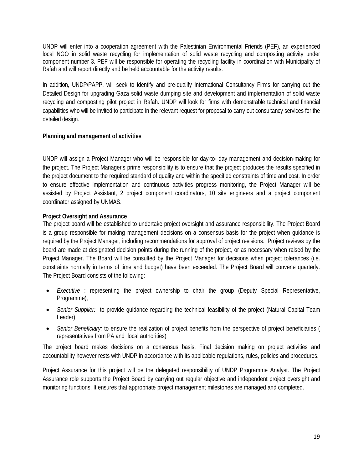UNDP will enter into a cooperation agreement with the Palestinian Environmental Friends (PEF), an experienced local NGO in solid waste recycling for implementation of solid waste recycling and composting activity under component number 3. PEF will be responsible for operating the recycling facility in coordination with Municipality of Rafah and will report directly and be held accountable for the activity results.

In addition, UNDP/PAPP, will seek to identify and pre-qualify International Consultancy Firms for carrying out the Detailed Design for upgrading Gaza solid waste dumping site and development and implementation of solid waste recycling and composting pilot project in Rafah. UNDP will look for firms with demonstrable technical and financial capabilities who will be invited to participate in the relevant request for proposal to carry out consultancy services for the detailed design.

# **Planning and management of activities**

UNDP will assign a Project Manager who will be responsible for day-to- day management and decision-making for the project. The Project Manager's prime responsibility is to ensure that the project produces the results specified in the project document to the required standard of quality and within the specified constraints of time and cost. In order to ensure effective implementation and continuous activities progress monitoring, the Project Manager will be assisted by Project Assistant, 2 project component coordinators, 10 site engineers and a project component coordinator assigned by UNMAS.

### **Project Oversight and Assurance**

The project board will be established to undertake project oversight and assurance responsibility. The Project Board is a group responsible for making management decisions on a consensus basis for the project when guidance is required by the Project Manager, including recommendations for approval of project revisions. Project reviews by the board are made at designated decision points during the running of the project, or as necessary when raised by the Project Manager. The Board will be consulted by the Project Manager for decisions when project tolerances (i.e. constraints normally in terms of time and budget) have been exceeded. The Project Board will convene quarterly. The Project Board consists of the following:

- *Executive* : representing the project ownership to chair the group (Deputy Special Representative, Programme),
- *Senior Supplier:* to provide guidance regarding the technical feasibility of the project (Natural Capital Team Leader)
- *Senior Beneficiary:* to ensure the realization of project benefits from the perspective of project beneficiaries ( representatives from PA and local authorities)

The project board makes decisions on a consensus basis. Final decision making on project activities and accountability however rests with UNDP in accordance with its applicable regulations, rules, policies and procedures.

Project Assurance for this project will be the delegated responsibility of UNDP Programme Analyst. The Project Assurance role supports the Project Board by carrying out regular objective and independent project oversight and monitoring functions. It ensures that appropriate project management milestones are managed and completed.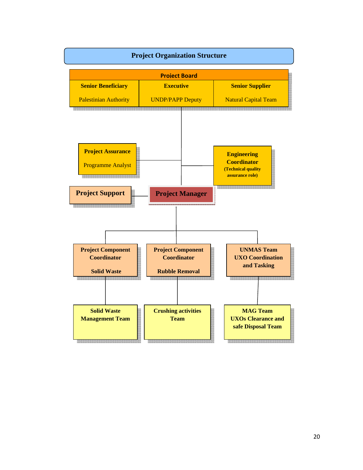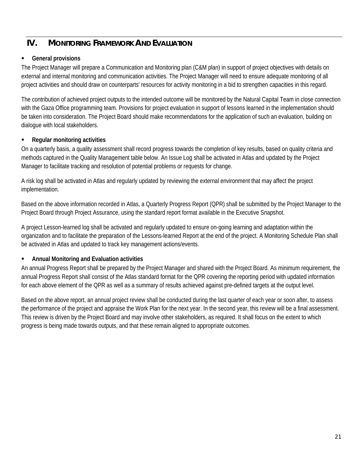# **IV. MONITORING FRAMEWORK AND EVALUATION**

# **General provisions**

The Project Manager will prepare a Communication and Monitoring plan (C&M plan) in support of project objectives with details on external and internal monitoring and communication activities. The Project Manager will need to ensure adequate monitoring of all project activities and should draw on counterparts' resources for activity monitoring in a bid to strengthen capacities in this regard.

The contribution of achieved project outputs to the intended outcome will be monitored by the Natural Capital Team in close connection with the Gaza Office programming team. Provisions for project evaluation in support of lessons learned in the implementation should be taken into consideration. The Project Board should make recommendations for the application of such an evaluation, building on dialogue with local stakeholders.

# **Regular monitoring activities**

On a quarterly basis, a quality assessment shall record progress towards the completion of key results, based on quality criteria and methods captured in the Quality Management table below. An Issue Log shall be activated in Atlas and updated by the Project Manager to facilitate tracking and resolution of potential problems or requests for change.

A risk log shall be activated in Atlas and regularly updated by reviewing the external environment that may affect the project implementation.

Based on the above information recorded in Atlas, a Quarterly Progress Report (QPR) shall be submitted by the Project Manager to the Project Board through Project Assurance, using the standard report format available in the Executive Snapshot.

A project Lesson-learned log shall be activated and regularly updated to ensure on-going learning and adaptation within the organization and to facilitate the preparation of the Lessons-learned Report at the end of the project. A Monitoring Schedule Plan shall be activated in Atlas and updated to track key management actions/events.

# **Annual Monitoring and Evaluation activities**

An annual Progress Report shall be prepared by the Project Manager and shared with the Project Board. As minimum requirement, the annual Progress Report shall consist of the Atlas standard format for the QPR covering the reporting period with updated information for each above element of the QPR as well as a summary of results achieved against pre-defined targets at the output level.

Based on the above report, an annual project review shall be conducted during the last quarter of each year or soon after, to assess the performance of the project and appraise the Work Plan for the next year. In the second year, this review will be a final assessment. This review is driven by the Project Board and may involve other stakeholders, as required. It shall focus on the extent to which progress is being made towards outputs, and that these remain aligned to appropriate outcomes.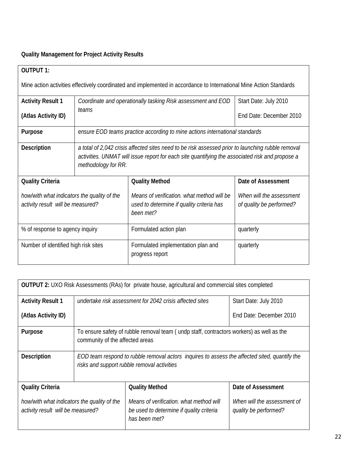# **Quality Management for Project Activity Results**

| <b>OUTPUT 1:</b>                                                                                                    |                                                                                                                                                                                                                             |                                                                                                      |                                                      |  |  |  |  |  |  |
|---------------------------------------------------------------------------------------------------------------------|-----------------------------------------------------------------------------------------------------------------------------------------------------------------------------------------------------------------------------|------------------------------------------------------------------------------------------------------|------------------------------------------------------|--|--|--|--|--|--|
| Mine action activities effectively coordinated and implemented in accordance to International Mine Action Standards |                                                                                                                                                                                                                             |                                                                                                      |                                                      |  |  |  |  |  |  |
| <b>Activity Result 1</b>                                                                                            | Start Date: July 2010<br>Coordinate and operationally tasking Risk assessment and EOD                                                                                                                                       |                                                                                                      |                                                      |  |  |  |  |  |  |
| (Atlas Activity ID)                                                                                                 | teams                                                                                                                                                                                                                       | Fnd Date: December 2010                                                                              |                                                      |  |  |  |  |  |  |
| Purpose                                                                                                             | ensure EOD teams practice according to mine actions international standards                                                                                                                                                 |                                                                                                      |                                                      |  |  |  |  |  |  |
| <b>Description</b>                                                                                                  | a total of 2,042 crisis affected sites need to be risk assessed prior to launching rubble removal<br>activities. UNMAT will issue report for each site quantifying the associated risk and propose a<br>methodology for RR. |                                                                                                      |                                                      |  |  |  |  |  |  |
| <b>Quality Criteria</b>                                                                                             |                                                                                                                                                                                                                             | <b>Quality Method</b>                                                                                | Date of Assessment                                   |  |  |  |  |  |  |
| how/with what indicators the quality of the<br>activity result will be measured?                                    |                                                                                                                                                                                                                             | Means of verification, what method will be<br>used to determine if quality criteria has<br>been met? | When will the assessment<br>of quality be performed? |  |  |  |  |  |  |
| % of response to agency inquiry                                                                                     | Formulated action plan                                                                                                                                                                                                      | quarterly                                                                                            |                                                      |  |  |  |  |  |  |
| Number of identified high risk sites                                                                                | quarterly                                                                                                                                                                                                                   |                                                                                                      |                                                      |  |  |  |  |  |  |

| <b>OUTPUT 2: UXO Risk Assessments (RAs) for private house, agricultural and commercial sites completed</b> |                                                                                                                                              |                                                                                                      |                                                      |  |  |  |
|------------------------------------------------------------------------------------------------------------|----------------------------------------------------------------------------------------------------------------------------------------------|------------------------------------------------------------------------------------------------------|------------------------------------------------------|--|--|--|
| <b>Activity Result 1</b>                                                                                   | undertake risk assessment for 2042 crisis affected sites                                                                                     | Start Date: July 2010                                                                                |                                                      |  |  |  |
| (Atlas Activity ID)                                                                                        |                                                                                                                                              |                                                                                                      | End Date: December 2010                              |  |  |  |
| Purpose                                                                                                    | To ensure safety of rubble removal team (undp staff, contractors workers) as well as the<br>community of the affected areas                  |                                                                                                      |                                                      |  |  |  |
| <b>Description</b>                                                                                         | EOD team respond to rubble removal actors inquires to assess the affected sited, quantify the<br>risks and support rubble removal activities |                                                                                                      |                                                      |  |  |  |
| <b>Quality Criteria</b>                                                                                    |                                                                                                                                              | <b>Quality Method</b>                                                                                | Date of Assessment                                   |  |  |  |
| how/with what indicators the quality of the<br>activity result will be measured?                           |                                                                                                                                              | Means of verification, what method will<br>be used to determine if quality criteria<br>has been met? | When will the assessment of<br>quality be performed? |  |  |  |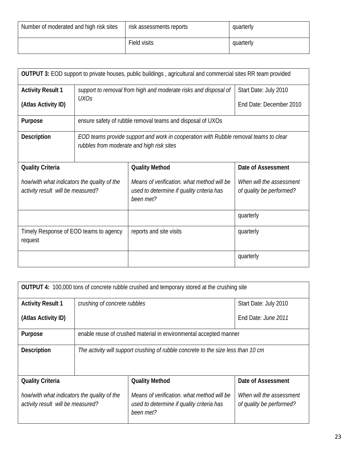| Number of moderated and high risk sites | risk assessments reports | quarterly |
|-----------------------------------------|--------------------------|-----------|
|                                         | Field visits             | quarterly |

|                                                                                  |                                                                                                                                   | <b>OUTPUT 3:</b> EOD support to private houses, public buildings, agricultural and commercial sites RR team provided |                                                      |  |  |  |
|----------------------------------------------------------------------------------|-----------------------------------------------------------------------------------------------------------------------------------|----------------------------------------------------------------------------------------------------------------------|------------------------------------------------------|--|--|--|
| <b>Activity Result 1</b>                                                         | Start Date: July 2010<br>support to removal from high and moderate risks and disposal of                                          |                                                                                                                      |                                                      |  |  |  |
| (Atlas Activity ID)                                                              | <i>UXOs</i>                                                                                                                       |                                                                                                                      | End Date: December 2010                              |  |  |  |
| Purpose                                                                          |                                                                                                                                   | ensure safety of rubble removal teams and disposal of UXOs                                                           |                                                      |  |  |  |
| Description                                                                      | EOD teams provide support and work in cooperation with Rubble removal teams to clear<br>rubbles from moderate and high risk sites |                                                                                                                      |                                                      |  |  |  |
| <b>Quality Criteria</b>                                                          |                                                                                                                                   | <b>Quality Method</b>                                                                                                | Date of Assessment                                   |  |  |  |
| how/with what indicators the quality of the<br>activity result will be measured? |                                                                                                                                   | Means of verification, what method will be<br>used to determine if quality criteria has<br>been met?                 | When will the assessment<br>of quality be performed? |  |  |  |
|                                                                                  |                                                                                                                                   |                                                                                                                      | quarterly                                            |  |  |  |
| Timely Response of EOD teams to agency<br>request                                |                                                                                                                                   | reports and site visits                                                                                              | quarterly                                            |  |  |  |
|                                                                                  |                                                                                                                                   |                                                                                                                      | quarterly                                            |  |  |  |

|                                                                                  |                                                                                   | <b>OUTPUT 4:</b> 100,000 tons of concrete rubble crushed and temporary stored at the crushing site   |                                                      |  |  |  |
|----------------------------------------------------------------------------------|-----------------------------------------------------------------------------------|------------------------------------------------------------------------------------------------------|------------------------------------------------------|--|--|--|
| <b>Activity Result 1</b>                                                         | crushing of concrete rubbles                                                      |                                                                                                      | Start Date: July 2010                                |  |  |  |
| (Atlas Activity ID)                                                              |                                                                                   | End Date: June 2011                                                                                  |                                                      |  |  |  |
| Purpose                                                                          | enable reuse of crushed material in environmental accepted manner                 |                                                                                                      |                                                      |  |  |  |
| <b>Description</b>                                                               | The activity will support crushing of rubble concrete to the size less than 10 cm |                                                                                                      |                                                      |  |  |  |
| <b>Quality Criteria</b>                                                          |                                                                                   | <b>Quality Method</b>                                                                                | Date of Assessment                                   |  |  |  |
| how/with what indicators the quality of the<br>activity result will be measured? |                                                                                   | Means of verification, what method will be<br>used to determine if quality criteria has<br>been met? | When will the assessment<br>of quality be performed? |  |  |  |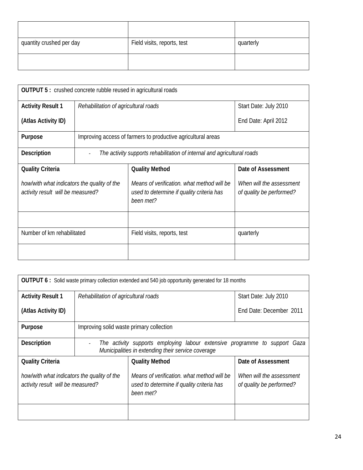| quantity crushed per day | Field visits, reports, test | quarterly |
|--------------------------|-----------------------------|-----------|
|                          |                             |           |

| <b>OUTPUT 5: crushed concrete rubble reused in agricultural roads</b>            |                                                                         |                                                                                                      |                                                      |  |  |  |
|----------------------------------------------------------------------------------|-------------------------------------------------------------------------|------------------------------------------------------------------------------------------------------|------------------------------------------------------|--|--|--|
| <b>Activity Result 1</b>                                                         | Rehabilitation of agricultural roads                                    |                                                                                                      | Start Date: July 2010                                |  |  |  |
| (Atlas Activity ID)                                                              |                                                                         |                                                                                                      | End Date: April 2012                                 |  |  |  |
| Purpose                                                                          | Improving access of farmers to productive agricultural areas            |                                                                                                      |                                                      |  |  |  |
| <b>Description</b>                                                               | The activity supports rehabilitation of internal and agricultural roads |                                                                                                      |                                                      |  |  |  |
| <b>Quality Criteria</b>                                                          |                                                                         | <b>Quality Method</b>                                                                                | Date of Assessment                                   |  |  |  |
| how/with what indicators the quality of the<br>activity result will be measured? |                                                                         | Means of verification, what method will be<br>used to determine if quality criteria has<br>been met? | When will the assessment<br>of quality be performed? |  |  |  |
|                                                                                  |                                                                         |                                                                                                      |                                                      |  |  |  |
| Number of km rehabilitated                                                       |                                                                         | Field visits, reports, test                                                                          | quarterly                                            |  |  |  |
|                                                                                  |                                                                         |                                                                                                      |                                                      |  |  |  |

| <b>OUTPUT 6:</b> Solid waste primary collection extended and 540 job opportunity generated for 18 months |                                                                                                                                        |                                                                                                      |                                                      |  |  |  |
|----------------------------------------------------------------------------------------------------------|----------------------------------------------------------------------------------------------------------------------------------------|------------------------------------------------------------------------------------------------------|------------------------------------------------------|--|--|--|
| <b>Activity Result 1</b>                                                                                 | Rehabilitation of agricultural roads                                                                                                   | Start Date: July 2010                                                                                |                                                      |  |  |  |
| (Atlas Activity ID)                                                                                      |                                                                                                                                        |                                                                                                      | End Date: December 2011                              |  |  |  |
| <b>Purpose</b>                                                                                           | Improving solid waste primary collection                                                                                               |                                                                                                      |                                                      |  |  |  |
| <b>Description</b>                                                                                       | The activity supports employing labour extensive programme to support Gaza<br>ä,<br>Municipalities in extending their service coverage |                                                                                                      |                                                      |  |  |  |
| <b>Quality Criteria</b>                                                                                  |                                                                                                                                        | <b>Quality Method</b>                                                                                | Date of Assessment                                   |  |  |  |
| how/with what indicators the quality of the<br>activity result will be measured?                         |                                                                                                                                        | Means of verification, what method will be<br>used to determine if quality criteria has<br>been met? | When will the assessment<br>of quality be performed? |  |  |  |
|                                                                                                          |                                                                                                                                        |                                                                                                      |                                                      |  |  |  |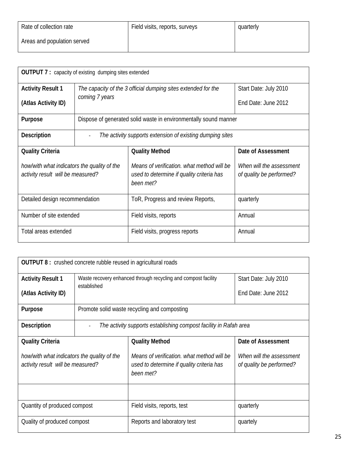| Rate of collection rate     | Field visits, reports, surveys | quarterly |
|-----------------------------|--------------------------------|-----------|
| Areas and population served |                                |           |

| <b>OUTPUT 7:</b> capacity of existing dumping sites extended                     |                                                                  |                                                                                                      |                                                      |  |  |  |
|----------------------------------------------------------------------------------|------------------------------------------------------------------|------------------------------------------------------------------------------------------------------|------------------------------------------------------|--|--|--|
| <b>Activity Result 1</b>                                                         |                                                                  | The capacity of the 3 official dumping sites extended for the                                        | Start Date: July 2010                                |  |  |  |
| (Atlas Activity ID)                                                              | coming 7 years                                                   |                                                                                                      | Fnd Date: June 2012                                  |  |  |  |
| <b>Purpose</b>                                                                   | Dispose of generated solid waste in environmentally sound manner |                                                                                                      |                                                      |  |  |  |
| <b>Description</b>                                                               | The activity supports extension of existing dumping sites        |                                                                                                      |                                                      |  |  |  |
| <b>Quality Criteria</b>                                                          |                                                                  | <b>Quality Method</b>                                                                                | Date of Assessment                                   |  |  |  |
| how/with what indicators the quality of the<br>activity result will be measured? |                                                                  | Means of verification, what method will be<br>used to determine if quality criteria has<br>been met? | When will the assessment<br>of quality be performed? |  |  |  |
| Detailed design recommendation                                                   |                                                                  | ToR, Progress and review Reports,                                                                    | quarterly                                            |  |  |  |
| Number of site extended                                                          |                                                                  | Field visits, reports                                                                                | Annual                                               |  |  |  |
| Total areas extended                                                             |                                                                  | Annual<br>Field visits, progress reports                                                             |                                                      |  |  |  |

| <b>OUTPUT 8</b> : crushed concrete rubble reused in agricultural roads           |                                                                   |                                                                                                                                                              |                       |  |  |  |
|----------------------------------------------------------------------------------|-------------------------------------------------------------------|--------------------------------------------------------------------------------------------------------------------------------------------------------------|-----------------------|--|--|--|
| <b>Activity Result 1</b>                                                         | established                                                       | Waste recovery enhanced through recycling and compost facility                                                                                               | Start Date: July 2010 |  |  |  |
| (Atlas Activity ID)                                                              |                                                                   |                                                                                                                                                              | End Date: June 2012   |  |  |  |
| Purpose                                                                          | Promote solid waste recycling and composting                      |                                                                                                                                                              |                       |  |  |  |
| <b>Description</b>                                                               | The activity supports establishing compost facility in Rafah area |                                                                                                                                                              |                       |  |  |  |
| <b>Quality Criteria</b>                                                          |                                                                   | <b>Quality Method</b>                                                                                                                                        | Date of Assessment    |  |  |  |
| how/with what indicators the quality of the<br>activity result will be measured? |                                                                   | Means of verification, what method will be<br>When will the assessment<br>of quality be performed?<br>used to determine if quality criteria has<br>been met? |                       |  |  |  |
|                                                                                  |                                                                   |                                                                                                                                                              |                       |  |  |  |
| Quantity of produced compost                                                     |                                                                   | Field visits, reports, test                                                                                                                                  | quarterly             |  |  |  |
| Quality of produced compost                                                      |                                                                   | Reports and laboratory test<br>quartely                                                                                                                      |                       |  |  |  |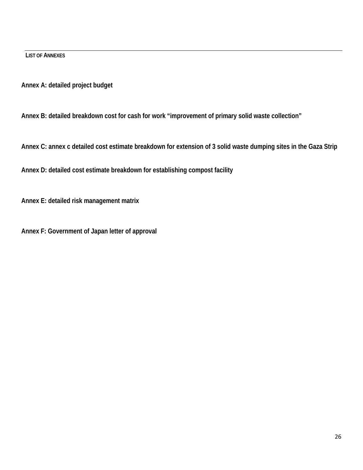**LIST OF ANNEXES**

**Annex A: detailed project budget** 

**Annex B: detailed breakdown cost for cash for work "improvement of primary solid waste collection"** 

**Annex C: annex c detailed cost estimate breakdown for extension of 3 solid waste dumping sites in the Gaza Strip** 

**Annex D: detailed cost estimate breakdown for establishing compost facility** 

**Annex E: detailed risk management matrix** 

**Annex F: Government of Japan letter of approval**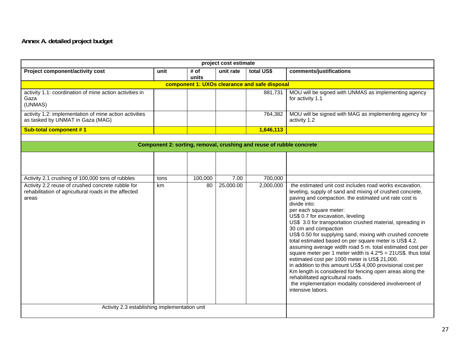# **Annex A. detailed project budget**

|                                                                                                                    | project cost estimate |               |           |                                                                      |                                                                                                                                                                                                                                                                                                                                                                                                                                                                                                                                                                                                                                                                                                                                                                                                                                                                                                          |
|--------------------------------------------------------------------------------------------------------------------|-----------------------|---------------|-----------|----------------------------------------------------------------------|----------------------------------------------------------------------------------------------------------------------------------------------------------------------------------------------------------------------------------------------------------------------------------------------------------------------------------------------------------------------------------------------------------------------------------------------------------------------------------------------------------------------------------------------------------------------------------------------------------------------------------------------------------------------------------------------------------------------------------------------------------------------------------------------------------------------------------------------------------------------------------------------------------|
| Project component/activity cost                                                                                    | unit                  | # of<br>units | unit rate | total US\$                                                           | comments/justifications                                                                                                                                                                                                                                                                                                                                                                                                                                                                                                                                                                                                                                                                                                                                                                                                                                                                                  |
|                                                                                                                    |                       |               |           | component 1: UXOs clearance and safe disposal                        |                                                                                                                                                                                                                                                                                                                                                                                                                                                                                                                                                                                                                                                                                                                                                                                                                                                                                                          |
| activity 1.1: coordination of mine action activities in<br>Gaza<br>(UNMAS)                                         |                       |               |           | 881,731                                                              | MOU will be signed with UNMAS as implementing agency<br>for activity 1.1                                                                                                                                                                                                                                                                                                                                                                                                                                                                                                                                                                                                                                                                                                                                                                                                                                 |
| activity 1.2: implementation of mine action activities<br>as tasked by UNMAT in Gaza (MAG)                         |                       |               |           | 764,382                                                              | MOU will be signed with MAG as implementing agency for<br>activity 1.2                                                                                                                                                                                                                                                                                                                                                                                                                                                                                                                                                                                                                                                                                                                                                                                                                                   |
| <b>Sub-total component #1</b>                                                                                      |                       |               |           | 1,646,113                                                            |                                                                                                                                                                                                                                                                                                                                                                                                                                                                                                                                                                                                                                                                                                                                                                                                                                                                                                          |
|                                                                                                                    |                       |               |           | Component 2: sorting, removal, crushing and reuse of rubble concrete |                                                                                                                                                                                                                                                                                                                                                                                                                                                                                                                                                                                                                                                                                                                                                                                                                                                                                                          |
|                                                                                                                    |                       |               |           |                                                                      |                                                                                                                                                                                                                                                                                                                                                                                                                                                                                                                                                                                                                                                                                                                                                                                                                                                                                                          |
|                                                                                                                    |                       |               |           |                                                                      |                                                                                                                                                                                                                                                                                                                                                                                                                                                                                                                                                                                                                                                                                                                                                                                                                                                                                                          |
| Activity 2.1 crushing of 100,000 tons of rubbles                                                                   | tons                  | 100,000       | 7.00      | 700,000                                                              |                                                                                                                                                                                                                                                                                                                                                                                                                                                                                                                                                                                                                                                                                                                                                                                                                                                                                                          |
| Activity 2.2 reuse of crushed concrete rubble for<br>rehabilitation of agricultural roads in the affected<br>areas | km                    | 80            | 25,000.00 | 2,000,000                                                            | the estimated unit cost includes road works excavation,<br>leveling, supply of sand and mixing of crushed concrete,<br>paving and compaction. the estimated unit rate cost is<br>divide into:<br>per each square meter:<br>US\$ 0.7 for excavation, leveling<br>US\$ 3.0 for transportation crushed material, spreading in<br>30 cm and compaction<br>US\$ 0.50 for supplying sand, mixing with crushed concrete<br>total estimated based on per square meter is US\$ 4.2.<br>assuming average width road 5 m. total estimated cost per<br>square meter per 1 meter width is $4.2*5 = 21US$ \$. thus total<br>estimated cost per 1000 meter is US\$ 21,000.<br>in addition to this amount US\$ 4,000 provisional cost per<br>Km length is considered for fencing open areas along the<br>rehabilitated agricultural roads.<br>the implementation modality considered involvement of<br>intensive labors. |
| Activity 2.3 establishing implementation unit                                                                      |                       |               |           |                                                                      |                                                                                                                                                                                                                                                                                                                                                                                                                                                                                                                                                                                                                                                                                                                                                                                                                                                                                                          |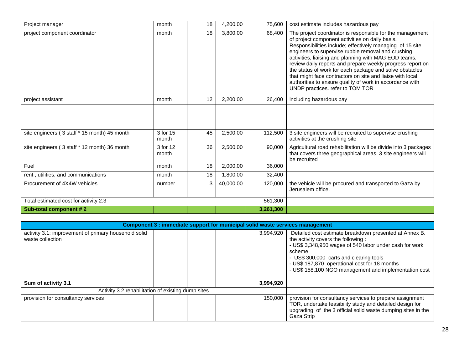| Project manager                                                          | month             | 18 | 4,200.00  | 75,600    | cost estimate includes hazardous pay                                                                                                                                                                                                                                                                                                                                                                                                                                                                                                                                           |
|--------------------------------------------------------------------------|-------------------|----|-----------|-----------|--------------------------------------------------------------------------------------------------------------------------------------------------------------------------------------------------------------------------------------------------------------------------------------------------------------------------------------------------------------------------------------------------------------------------------------------------------------------------------------------------------------------------------------------------------------------------------|
| project component coordinator                                            | month             | 18 | 3,800.00  | 68,400    | The project coordinator is responsible for the management<br>of project component activities on daily basis.<br>Responsibilities include; effectively managing of 15 site<br>engineers to supervise rubble removal and crushing<br>activities, liaising and planning with MAG EOD teams,<br>review daily reports and prepare weekly progress report on<br>the status of work for each package and solve obstacles<br>that might face contractors on site and liaise with local<br>authorities to ensure quality of work in accordance with<br>UNDP practices. refer to TOM TOR |
| project assistant                                                        | month             | 12 | 2,200.00  | 26,400    | including hazardous pay                                                                                                                                                                                                                                                                                                                                                                                                                                                                                                                                                        |
|                                                                          |                   |    |           |           |                                                                                                                                                                                                                                                                                                                                                                                                                                                                                                                                                                                |
| site engineers (3 staff * 15 month) 45 month                             | 3 for 15<br>month | 45 | 2,500.00  | 112,500   | 3 site engineers will be recruited to supervise crushing<br>activities at the crushing site                                                                                                                                                                                                                                                                                                                                                                                                                                                                                    |
| site engineers (3 staff * 12 month) 36 month                             | 3 for 12<br>month | 36 | 2,500.00  | 90,000    | Agricultural road rehabilitation will be divide into 3 packages<br>that covers three geographical areas. 3 site engineers will<br>be recruited                                                                                                                                                                                                                                                                                                                                                                                                                                 |
| Fuel                                                                     | month             | 18 | 2,000.00  | 36,000    |                                                                                                                                                                                                                                                                                                                                                                                                                                                                                                                                                                                |
| rent, utilities, and communications                                      | month             | 18 | 1,800.00  | 32,400    |                                                                                                                                                                                                                                                                                                                                                                                                                                                                                                                                                                                |
| Procurement of 4X4W vehicles                                             | number            | 3  | 40,000.00 | 120,000   | the vehicle will be procured and transported to Gaza by<br>Jerusalem office.                                                                                                                                                                                                                                                                                                                                                                                                                                                                                                   |
| Total estimated cost for activity 2.3                                    |                   |    |           | 561,300   |                                                                                                                                                                                                                                                                                                                                                                                                                                                                                                                                                                                |
| Sub-total component #2                                                   |                   |    |           | 3,261,300 |                                                                                                                                                                                                                                                                                                                                                                                                                                                                                                                                                                                |
|                                                                          |                   |    |           |           |                                                                                                                                                                                                                                                                                                                                                                                                                                                                                                                                                                                |
|                                                                          |                   |    |           |           | Component 3 : immediate support for municipal solid waste services management                                                                                                                                                                                                                                                                                                                                                                                                                                                                                                  |
| activity 3.1: improvement of primary household solid<br>waste collection |                   |    |           | 3,994,920 | Detailed cost estimate breakdown presented at Annex B.<br>the activity covers the following :<br>- US\$ 3,348,950 wages of 540 labor under cash for work<br>scheme<br>- US\$ 300,000 carts and clearing tools<br>- US\$ 187,870 operational cost for 18 months<br>- US\$ 158,100 NGO management and implementation cost                                                                                                                                                                                                                                                        |
| Sum of activity 3.1                                                      |                   |    |           | 3,994,920 |                                                                                                                                                                                                                                                                                                                                                                                                                                                                                                                                                                                |
| Activity 3.2 rehabilitation of existing dump sites                       |                   |    |           |           |                                                                                                                                                                                                                                                                                                                                                                                                                                                                                                                                                                                |
| provision for consultancy services                                       |                   |    |           | 150,000   | provision for consultancy services to prepare assignment<br>TOR, undertake feasibility study and detailed design for<br>upgrading of the 3 official solid waste dumping sites in the<br>Gaza Strip                                                                                                                                                                                                                                                                                                                                                                             |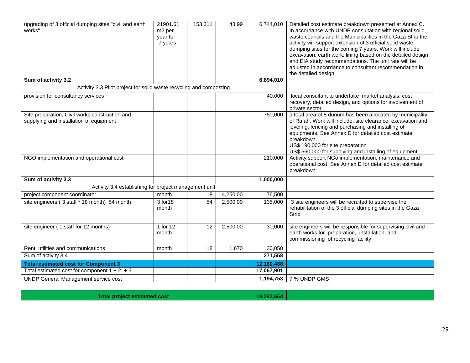| upgrading of 3 official dumping sites "civil and earth<br>works"                          | 21901.61<br>m <sub>2</sub> per<br>year for<br>7 years | 153,311 | 43.99    | 6,744,010  | Detailed cost estimate breakdown presented at Annex C.<br>In accordance with UNDP consultation with regional solid<br>waste councils and the Municipalities in the Gaza Strip the<br>activity will support extension of 3 official solid waste<br>dumping sites for the coming 7 years. Work will include<br>excavation, earth work; lining based on the detailed design<br>and EIA study recommendations. The unit rate will be<br>adjusted in accordance to consultant recommendation in<br>the detailed design. |
|-------------------------------------------------------------------------------------------|-------------------------------------------------------|---------|----------|------------|--------------------------------------------------------------------------------------------------------------------------------------------------------------------------------------------------------------------------------------------------------------------------------------------------------------------------------------------------------------------------------------------------------------------------------------------------------------------------------------------------------------------|
| Sum of activity 3.2                                                                       |                                                       |         |          | 6,894,010  |                                                                                                                                                                                                                                                                                                                                                                                                                                                                                                                    |
| Activity 3.3 Pilot project for solid waste recycling and composting                       |                                                       |         |          |            |                                                                                                                                                                                                                                                                                                                                                                                                                                                                                                                    |
| provision for consultancy services                                                        |                                                       |         |          | 40,000     | local consultant to undertake market analysis, cost<br>recovery, detailed design, and options for involvement of<br>private sector                                                                                                                                                                                                                                                                                                                                                                                 |
| Site preparation, Civil works construction and<br>supplying and installation of equipment |                                                       |         |          | 750,000    | a total area of 8 dunum has been allocated by municipality<br>of Rafah. Work will include, site clearance, excavation and<br>leveling, fencing and purchasing and installing of<br>equipments. See Annex D for detailed cost estimate<br>breakdown.<br>US\$ 190,000 for site preparation<br>US\$ 560,000 for supplying and installing of equipment                                                                                                                                                                 |
| NGO implementation and operational cost                                                   |                                                       |         |          | 210,000    | Activity support NGo implementation, maintenance and<br>operational cost. See Annex D for detailed cost estimate<br>breakdown                                                                                                                                                                                                                                                                                                                                                                                      |
| Sum of activity 3.3                                                                       |                                                       |         |          | 1,000,000  |                                                                                                                                                                                                                                                                                                                                                                                                                                                                                                                    |
| Activity 3.4 establishing for project management unit                                     |                                                       |         |          |            |                                                                                                                                                                                                                                                                                                                                                                                                                                                                                                                    |
| project component coordinator                                                             | month                                                 | 18      | 4,250.00 | 76,500     |                                                                                                                                                                                                                                                                                                                                                                                                                                                                                                                    |
| site engineers (3 staff * 18 month) 54 month                                              | 3 for 18<br>month                                     | 54      | 2,500.00 | 135,000    | 3 site engineers will be recruited to supervise the<br>rehabilitation of the 3 official dumping sites in the Gaza<br>Strip                                                                                                                                                                                                                                                                                                                                                                                         |
| site engineer (1 staff for 12 months)                                                     | 1 for 12<br>month                                     | 12      | 2,500.00 | 30,000     | site engineers will be responsible for supervising civil and<br>earth works for preparation, installation and<br>commissioning of recycling facility                                                                                                                                                                                                                                                                                                                                                               |
| Rent, utilities and communications                                                        | month                                                 | 18      | 1,670    | 30,058     |                                                                                                                                                                                                                                                                                                                                                                                                                                                                                                                    |
| Sum of activity 3.4                                                                       |                                                       |         |          | 271,558    |                                                                                                                                                                                                                                                                                                                                                                                                                                                                                                                    |
| <b>Total estimated cost for Component 3</b>                                               |                                                       |         |          | 12,160,488 |                                                                                                                                                                                                                                                                                                                                                                                                                                                                                                                    |
| Total estimated cost for component $1 + 2 + 3$                                            |                                                       |         |          | 17,067,901 |                                                                                                                                                                                                                                                                                                                                                                                                                                                                                                                    |
| <b>UNDP General Management service cost</b>                                               |                                                       |         |          | 1,194,753  | 7 % UNDP GMS                                                                                                                                                                                                                                                                                                                                                                                                                                                                                                       |
|                                                                                           |                                                       |         |          |            |                                                                                                                                                                                                                                                                                                                                                                                                                                                                                                                    |
|                                                                                           |                                                       |         |          |            |                                                                                                                                                                                                                                                                                                                                                                                                                                                                                                                    |

**Total project estimated cost** 18,262,654 **18,262,654**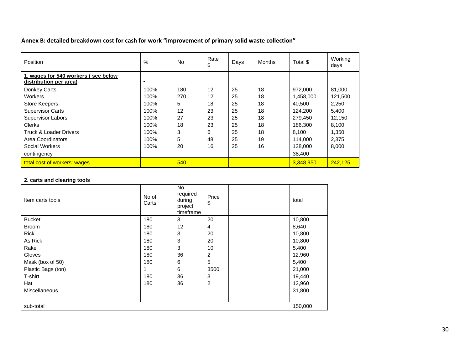**Annex B: detailed breakdown cost for cash for work "improvement of primary solid waste collection"**

| Position                                                      | %    | <b>No</b> | Rate<br>\$ | Days | <b>Months</b> | Total \$  | Working<br>days |
|---------------------------------------------------------------|------|-----------|------------|------|---------------|-----------|-----------------|
| 1. wages for 540 workers (see below<br>distribution per area) |      |           |            |      |               |           |                 |
| Donkey Carts                                                  | 100% | 180       | 12         | 25   | 18            | 972.000   | 81.000          |
| Workers                                                       | 100% | 270       | 12         | 25   | 18            | 1,458,000 | 121,500         |
| <b>Store Keepers</b>                                          | 100% | 5         | 18         | 25   | 18            | 40.500    | 2,250           |
| <b>Supervisor Carts</b>                                       | 100% | 12        | 23         | 25   | 18            | 124.200   | 5.400           |
| <b>Supervisor Labors</b>                                      | 100% | 27        | 23         | 25   | 18            | 279.450   | 12,150          |
| <b>Clerks</b>                                                 | 100% | 18        | 23         | 25   | 18            | 186.300   | 8,100           |
| Truck & Loader Drivers                                        | 100% | 3         | 6          | 25   | 18            | 8.100     | 1,350           |
| Area Coordinators                                             | 100% | 5         | 48         | 25   | 19            | 114.000   | 2,375           |
| Social Workers                                                | 100% | 20        | 16         | 25   | 16            | 128,000   | 8,000           |
| contingency                                                   |      |           |            |      |               | 38,400    |                 |
| total cost of workers' wages                                  |      | 540       |            |      |               | 3,348,950 | 242.125         |

### **2. carts and clearing tools**

| Item carts tools     | No of<br>Carts | <b>No</b><br>required<br>during<br>project<br>timeframe | Price<br>\$      | total   |
|----------------------|----------------|---------------------------------------------------------|------------------|---------|
| <b>Bucket</b>        | 180            | 3                                                       | 20               | 10,800  |
| <b>Broom</b>         | 180            | 12                                                      | 4                | 8,640   |
| Rick                 | 180            | 3                                                       | 20               | 10,800  |
| As Rick              | 180            | 3                                                       | 20               | 10,800  |
| Rake                 | 180            | 3                                                       | 10               | 5,400   |
| Gloves               | 180            | 36                                                      | $\overline{2}$   | 12,960  |
| Mask (box of 50)     | 180            | 6                                                       | 5                | 5,400   |
| Plastic Bags (ton)   |                | 6                                                       | 3500             | 21,000  |
| T-shirt              | 180            | 36                                                      | 3                | 19,440  |
| Hat                  | 180            | 36                                                      | $\boldsymbol{2}$ | 12,960  |
| <b>Miscellaneous</b> |                |                                                         |                  | 31,800  |
| sub-total            |                |                                                         |                  | 150,000 |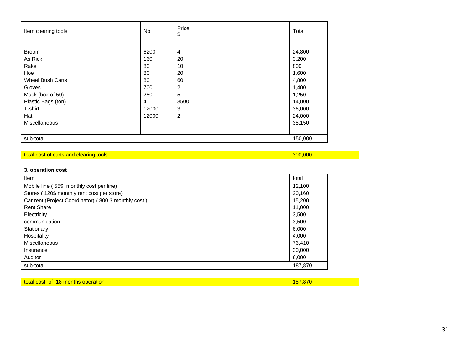| Item clearing tools                                                                             | No.                                         | Price<br>\$                                                   | Total                                                      |
|-------------------------------------------------------------------------------------------------|---------------------------------------------|---------------------------------------------------------------|------------------------------------------------------------|
| <b>Broom</b><br>As Rick<br>Rake<br>Hoe<br><b>Wheel Bush Carts</b><br>Gloves<br>Mask (box of 50) | 6200<br>160<br>80<br>80<br>80<br>700<br>250 | $\overline{4}$<br>20<br>10<br>20<br>60<br>$\overline{c}$<br>5 | 24,800<br>3,200<br>800<br>1,600<br>4,800<br>1,400<br>1,250 |
| Plastic Bags (ton)<br>T-shirt<br>Hat<br><b>Miscellaneous</b>                                    | 4<br>12000<br>12000                         | 3500<br>3<br>$\overline{c}$                                   | 14,000<br>36,000<br>24,000<br>38,150                       |
| sub-total                                                                                       |                                             |                                                               | 150,000                                                    |

### total cost of carts and clearing tools 300,000 and control to the cost of care control to the cost of carts and clearing tools 300,000 and clearing tools 300,000 and clearing tools 300,000 and clearing tools 300,000 and cl

# **3. operation cost**

| Item                                                 | total   |
|------------------------------------------------------|---------|
| Mobile line (55\$ monthly cost per line)             | 12,100  |
| Stores (120\$ monthly rent cost per store)           | 20,160  |
| Car rent (Project Coordinator) (800 \$ monthly cost) | 15,200  |
| <b>Rent Share</b>                                    | 11,000  |
| Electricity                                          | 3,500   |
| communication                                        | 3,500   |
| Stationary                                           | 6,000   |
| Hospitality                                          | 4,000   |
| Miscellaneous                                        | 76.410  |
| Insurance                                            | 30,000  |
| Auditor                                              | 6,000   |
| sub-total                                            | 187,870 |

| total cost<br>; operation<br><b>18 months</b><br><b>of</b> | $-187$ $0$ |
|------------------------------------------------------------|------------|
|                                                            |            |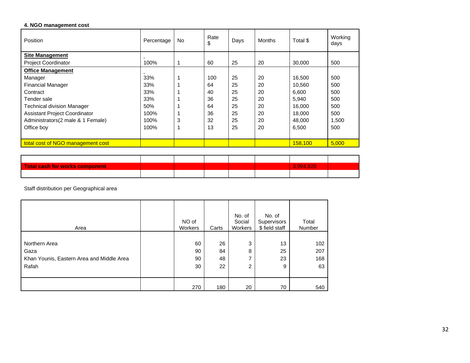### **4. NGO management cost**

| Position                             | Percentage | No. | Rate<br>\$ | Days | <b>Months</b> | Total \$ | Working<br>days |
|--------------------------------------|------------|-----|------------|------|---------------|----------|-----------------|
| Site Management                      |            |     |            |      |               |          |                 |
| <b>Project Coordinator</b>           | 100%       |     | 60         | 25   | 20            | 30,000   | 500             |
| <b>Office Management</b>             |            |     |            |      |               |          |                 |
| Manager                              | 33%        |     | 100        | 25   | 20            | 16,500   | 500             |
| <b>Financial Manager</b>             | 33%        |     | 64         | 25   | 20            | 10.560   | 500             |
| Contract                             | 33%        |     | 40         | 25   | 20            | 6.600    | 500             |
| Tender sale                          | 33%        |     | 36         | 25   | 20            | 5.940    | 500             |
| <b>Technical division Manager</b>    | 50%        |     | 64         | 25   | 20            | 16,000   | 500             |
| <b>Assistant Project Coordinator</b> | 100%       |     | 36         | 25   | 20            | 18.000   | 500             |
| Administrators(2 male & 1 Female)    | 100%       | 3   | 32         | 25   | 20            | 48.000   | 1,500           |
| Office boy                           | 100%       |     | 13         | 25   | 20            | 6,500    | 500             |
|                                      |            |     |            |      |               |          |                 |
| total cost of NGO management cost    |            |     |            |      |               | 158,100  | 5,000           |

| Total cash for works component |  |  | 3.994.920 |  |
|--------------------------------|--|--|-----------|--|
|                                |  |  |           |  |

Staff distribution per Geographical area

| Area                                                                        | NO of<br>Workers     | Carts                | No. of<br>Social<br>Workers | No. of<br>Supervisors<br>\$ field staff | Total<br>Number         |
|-----------------------------------------------------------------------------|----------------------|----------------------|-----------------------------|-----------------------------------------|-------------------------|
| Northern Area<br>Gaza<br>Khan Younis, Eastern Area and Middle Area<br>Rafah | 60<br>90<br>90<br>30 | 26<br>84<br>48<br>22 | 3<br>8<br>⇁<br>2            | 13<br>25<br>23<br>9                     | 102<br>207<br>168<br>63 |
|                                                                             | 270                  | 180                  | 20                          | 70                                      | 540                     |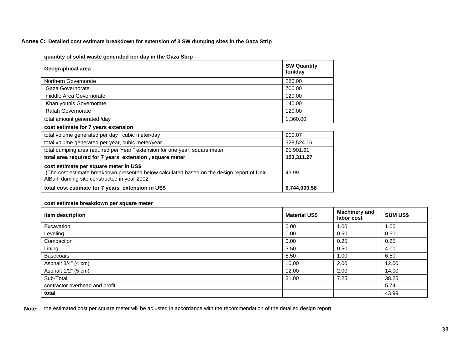#### **Annex C: Detailed cost estimate breakdown for extension of 3 SW dumping sites in the Gaza Strip**

| Geographical area                                                                                                                                                                     | <b>SW Quantity</b><br>ton/day |
|---------------------------------------------------------------------------------------------------------------------------------------------------------------------------------------|-------------------------------|
| Northern Governorate                                                                                                                                                                  | 280.00                        |
| Gaza Governorate                                                                                                                                                                      | 700.00                        |
| middle Area Governorate                                                                                                                                                               | 120.00                        |
| Khan younis Governorate                                                                                                                                                               | 140.00                        |
| Rafah Governorate                                                                                                                                                                     | 120.00                        |
| total amount generated /day                                                                                                                                                           | 1,360.00                      |
| cost estimate for 7 years extension                                                                                                                                                   |                               |
| total volume generated per day, cubic meter/day                                                                                                                                       | 900.07                        |
| total volume generated per year, cubic meter/year                                                                                                                                     | 328,524.16                    |
| total dumping area required per Year " extension for one year, square meter                                                                                                           | 21,901.61                     |
| total area required for 7 years extension, square meter                                                                                                                               | 153,311.27                    |
| cost estimate per square meter in US\$<br>(The cost estimate breakdown presented below calculated based on the design report of Deir-<br>AlBalh duming site constructed in year 2002. | 43.99                         |
| total cost estimate for 7 years extension in US\$                                                                                                                                     | 6,744,009.58                  |

**quantity of solid waste generated per day in the Gaza Strip** 

### **cost estimate breakdown per square meter**

| item description               | <b>Material US\$</b> | <b>Machinery and</b><br>labor cost | <b>SUM US\$</b> |
|--------------------------------|----------------------|------------------------------------|-----------------|
| Excavation                     | 0.00                 | 1.00                               | 1.00            |
| Leveling                       | 0.00                 | 0.50                               | 0.50            |
| Compaction                     | 0.00                 | 0.25                               | 0.25            |
| Lining                         | 3.50                 | 0.50                               | 4.00            |
| <b>Basecoars</b>               | 5.50                 | 1.00                               | 6.50            |
| Asphalt 3/4" (4 cm)            | 10.00                | 2.00                               | 12.00           |
| Asphalt 1/2" (5 cm)            | 12.00                | 2.00                               | 14.00           |
| Sub-Total                      | 31.00                | 7.25                               | 38.25           |
| contractor overhead and profit |                      |                                    | 5.74            |
| total                          |                      |                                    | 43.99           |

**Note:** the estimated cost per square meter will be adjusted in accordance with the recommendation of the detailed design report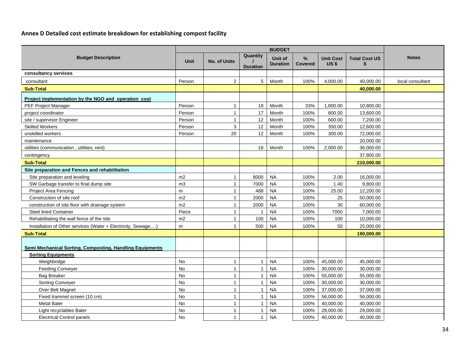### **Annex D Detailed cost estimate breakdown for establishing compost facility**

| <b>Budget Description</b>                                     | <b>Unit</b> | <b>No. of Units</b> | Quantity<br><b>Duration</b> | Unit of<br><b>Duration</b> | $\%$<br><b>Covered</b> | <b>Unit Cost</b><br>US <sub>\$</sub> | <b>Total Cost US</b><br>\$ | <b>Notes</b>     |
|---------------------------------------------------------------|-------------|---------------------|-----------------------------|----------------------------|------------------------|--------------------------------------|----------------------------|------------------|
| consultancy services                                          |             |                     |                             |                            |                        |                                      |                            |                  |
| consultant                                                    | Person      | $\overline{2}$      | 5                           | Month                      | 100%                   | 4,000.00                             | 40,000.00                  | local consultant |
| <b>Sub-Total</b>                                              |             |                     |                             |                            |                        |                                      | 40,000.00                  |                  |
| Project implementation by the NGO and operation cost          |             |                     |                             |                            |                        |                                      |                            |                  |
| PEF Project Manager                                           | Person      | $\mathbf{1}$        | 18                          | Month                      | 33%                    | 1,800.00                             | 10,800.00                  |                  |
| project coordinator                                           | Person      | $\mathbf{1}$        | 17                          | Month                      | 100%                   | 800.00                               | 13,600.00                  |                  |
| site / supervisor Engineer                                    | Person      | $\mathbf{1}$        | 12                          | Month                      | 100%                   | 600.00                               | 7,200.00                   |                  |
| <b>Skilled Workers</b>                                        | Person      | 3                   | 12                          | Month                      | 100%                   | 350.00                               | 12,600.00                  |                  |
| unskilled workers                                             | Person      | 20                  | 12                          | Month                      | 100%                   | 300.00                               | 72,000.00                  |                  |
| maintenance                                                   |             |                     |                             |                            |                        |                                      | 20,000.00                  |                  |
| utilities (communication, utilities, rent)                    |             |                     | 18                          | Month                      | 100%                   | 2,000.00                             | 36,000.00                  |                  |
| contingency                                                   |             |                     |                             |                            |                        |                                      | 37,800.00                  |                  |
| <b>Sub-Total</b>                                              |             |                     |                             |                            |                        |                                      | 210,000.00                 |                  |
| Site preparation and Fences and rehabilitation                |             |                     |                             |                            |                        |                                      |                            |                  |
| Site preparation and leveling                                 | m2          | $\mathbf{1}$        | 8000                        | <b>NA</b>                  | 100%                   | 2.00                                 | 16,000.00                  |                  |
| SW Garbage transfer to final dump site                        | m3          | $\mathbf{1}$        | 7000                        | <b>NA</b>                  | 100%                   | 1.40                                 | 9,800.00                   |                  |
| Project Area Fencing                                          | m           | $\mathbf{1}$        | 488                         | <b>NA</b>                  | 100%                   | 25.00                                | 12,200.00                  |                  |
| Construction of site roof                                     | m2          | $\mathbf{1}$        | 2000                        | <b>NA</b>                  | 100%                   | 25                                   | 50,000.00                  |                  |
| construction of site floor with drainage system               | m2          | $\mathbf{1}$        | 2000                        | <b>NA</b>                  | 100%                   | 30                                   | 60,000.00                  |                  |
| <b>Steel lined Container</b>                                  | Piece       | 1                   | $\overline{\phantom{a}}$    | <b>NA</b>                  | 100%                   | 7000                                 | 7,000.00                   |                  |
| Rehabilitating the wall fence of the site                     | m2          | $\mathbf{1}$        | 100                         | <b>NA</b>                  | 100%                   | 100                                  | 10,000.00                  |                  |
| Installation of Other services (Water + Electricity, Sewage,) | m           | $\mathbf{1}$        | 500                         | <b>NA</b>                  | 100%                   | 50                                   | 25,000.00                  |                  |
| <b>Sub-Total</b>                                              |             |                     |                             |                            |                        |                                      | 190,000.00                 |                  |
| Semi Mechanical Sorting, Composting, Handling Equipments      |             |                     |                             |                            |                        |                                      |                            |                  |
| <b>Sorting Equipments</b>                                     |             |                     |                             |                            |                        |                                      |                            |                  |
| Weighbridge                                                   | <b>No</b>   | $\mathbf{1}$        | $\mathbf{1}$                | <b>NA</b>                  | 100%                   | 45,000.00                            | 45,000.00                  |                  |
| <b>Feeding Conveyer</b>                                       | <b>No</b>   | $\mathbf{1}$        | $\overline{1}$              | <b>NA</b>                  | 100%                   | 30,000.00                            | 30,000.00                  |                  |
| <b>Bag Breaker</b>                                            | <b>No</b>   | $\mathbf{1}$        | $\overline{1}$              | <b>NA</b>                  | 100%                   | 55,000.00                            | 55,000.00                  |                  |
| <b>Sorting Conveyer</b>                                       | No          | $\mathbf{1}$        | $\overline{1}$              | <b>NA</b>                  | 100%                   | 30,000.00                            | 30,000.00                  |                  |
| Over Belt Magnet                                              | No          | $\mathbf{1}$        | $\overline{\mathbf{1}}$     | <b>NA</b>                  | 100%                   | 37,000.00                            | 37,000.00                  |                  |
| Fixed trammel screen (10 cm)                                  | No          | $\mathbf{1}$        | $\overline{1}$              | <b>NA</b>                  | 100%                   | 56,000.00                            | 56,000.00                  |                  |
| <b>Metal Baler</b>                                            | No          | $\mathbf{1}$        | $\overline{1}$              | <b>NA</b>                  | 100%                   | 40,000.00                            | 40,000.00                  |                  |
| Light recyclables Baler                                       | <b>No</b>   | $\mathbf{1}$        | $\overline{1}$              | <b>NA</b>                  | 100%                   | 29,000.00                            | 29,000.00                  |                  |
| <b>Electrical Control panels</b>                              | <b>No</b>   | $\mathbf{1}$        | $\mathbf{1}$                | <b>NA</b>                  | 100%                   | 40,000.00                            | 40,000.00                  |                  |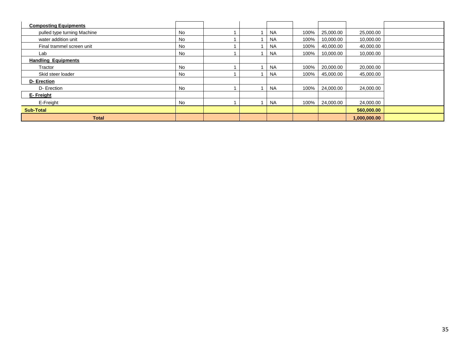| <b>Composting Equipments</b> |           |  |           |      |           |              |  |
|------------------------------|-----------|--|-----------|------|-----------|--------------|--|
| pulled type turning Machine  | No        |  | <b>NA</b> | 100% | 25,000.00 | 25,000.00    |  |
| water addition unit          | No.       |  | <b>NA</b> | 100% | 10,000.00 | 10,000.00    |  |
| Final trammel screen unit    | No        |  | <b>NA</b> | 100% | 40,000.00 | 40,000.00    |  |
| Lab                          | <b>No</b> |  | <b>NA</b> | 100% | 10,000.00 | 10,000.00    |  |
| <b>Handling Equipments</b>   |           |  |           |      |           |              |  |
| Tractor                      | No        |  | <b>NA</b> | 100% | 20,000.00 | 20,000.00    |  |
| Skid steer loader            | No        |  | <b>NA</b> | 100% | 45,000.00 | 45,000.00    |  |
| D-Erection                   |           |  |           |      |           |              |  |
| D- Erection                  | No        |  | <b>NA</b> | 100% | 24,000.00 | 24,000.00    |  |
| E-Freight                    |           |  |           |      |           |              |  |
| E-Freight                    | No        |  | <b>NA</b> | 100% | 24,000.00 | 24,000.00    |  |
| <b>Sub-Total</b>             |           |  |           |      |           | 560,000.00   |  |
| <b>Total</b>                 |           |  |           |      |           | 1,000,000.00 |  |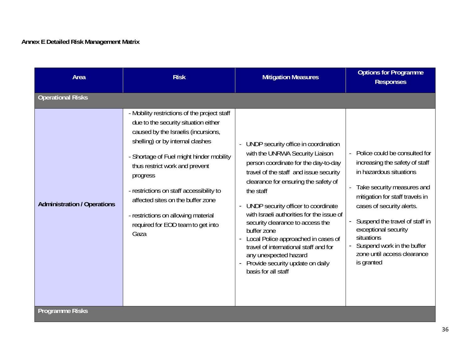# **Annex E Detailed Risk Management Matrix**

| Area                               | <b>Risk</b>                                                                                                                                                                                                                                                                                                                                                                                                                    | <b>Mitigation Measures</b>                                                                                                                                                                                                                                                                                                                                                                                                                                                                                                                  | <b>Options for Programme</b><br><b>Responses</b>                                                                                                                                                                                                                                                                                              |  |  |  |  |  |  |
|------------------------------------|--------------------------------------------------------------------------------------------------------------------------------------------------------------------------------------------------------------------------------------------------------------------------------------------------------------------------------------------------------------------------------------------------------------------------------|---------------------------------------------------------------------------------------------------------------------------------------------------------------------------------------------------------------------------------------------------------------------------------------------------------------------------------------------------------------------------------------------------------------------------------------------------------------------------------------------------------------------------------------------|-----------------------------------------------------------------------------------------------------------------------------------------------------------------------------------------------------------------------------------------------------------------------------------------------------------------------------------------------|--|--|--|--|--|--|
| <b>Operational Risks</b>           |                                                                                                                                                                                                                                                                                                                                                                                                                                |                                                                                                                                                                                                                                                                                                                                                                                                                                                                                                                                             |                                                                                                                                                                                                                                                                                                                                               |  |  |  |  |  |  |
| <b>Administration / Operations</b> | - Mobility restrictions of the project staff<br>due to the security situation either<br>caused by the Israelis (incursions,<br>shelling) or by internal clashes<br>- Shortage of Fuel might hinder mobility<br>thus restrict work and prevent<br>progress<br>- restrictions on staff accessibility to<br>affected sites on the buffer zone<br>- restrictions on allowing material<br>required for EOD team to get into<br>Gaza | UNDP security office in coordination<br>with the UNRWA Security Liaison<br>person coordinate for the day-to-day<br>travel of the staff and issue security<br>clearance for ensuring the safety of<br>the staff<br>UNDP security officer to coordinate<br>$\blacksquare$<br>with Israeli authorities for the issue of<br>security clearance to access the<br>buffer zone<br>Local Police approached in cases of<br>travel of international staff and for<br>any unexpected hazard<br>Provide security update on daily<br>basis for all staff | Police could be consulted for<br>increasing the safety of staff<br>in hazardous situations<br>Take security measures and<br>mitigation for staff travels in<br>cases of security alerts.<br>- Suspend the travel of staff in<br>exceptional security<br>situations<br>Suspend work in the buffer<br>zone until access clearance<br>is granted |  |  |  |  |  |  |
| <b>Programme Risks</b>             |                                                                                                                                                                                                                                                                                                                                                                                                                                |                                                                                                                                                                                                                                                                                                                                                                                                                                                                                                                                             |                                                                                                                                                                                                                                                                                                                                               |  |  |  |  |  |  |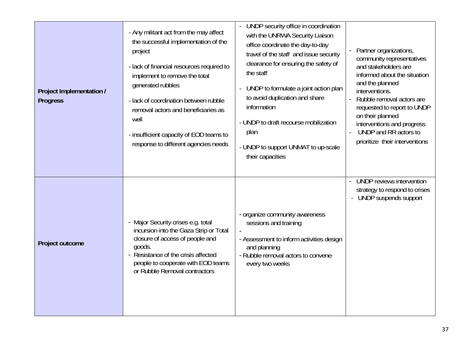| Project Implementation /<br><b>Progress</b> | - Any militant act from the may affect<br>the successful implementation of the<br>project<br>- lack of financial resources required to<br>implement to remove the total<br>generated rubbles<br>- lack of coordination between rubble<br>removal actors and beneficiaries as<br>well<br>- insufficient capacity of EOD teams to<br>response to different agencies needs | UNDP security office in coordination<br>with the UNRWA Security Liaison<br>office coordinate the day-to-day<br>travel of the staff and issue security<br>clearance for ensuring the safety of<br>the staff<br>UNDP to formulate a joint action plan<br>$\blacksquare$<br>to avoid duplication and share<br>information<br>- UNDP to draft recourse mobilization<br>plan<br>- UNDP to support UNMAT to up-scale<br>their capacities | Partner organizations,<br>community representatives<br>and stakeholders are<br>informed about the situation<br>and the planned<br>interventions.<br>Rubble removal actors are<br>requested to report to UNDP<br>on their planned<br>interventions and progress<br>UNDP and RR actors to<br>prioritize their interventions |
|---------------------------------------------|-------------------------------------------------------------------------------------------------------------------------------------------------------------------------------------------------------------------------------------------------------------------------------------------------------------------------------------------------------------------------|------------------------------------------------------------------------------------------------------------------------------------------------------------------------------------------------------------------------------------------------------------------------------------------------------------------------------------------------------------------------------------------------------------------------------------|---------------------------------------------------------------------------------------------------------------------------------------------------------------------------------------------------------------------------------------------------------------------------------------------------------------------------|
| Project outcome                             | - Major Security crises e.g. total<br>incursion into the Gaza Strip or Total<br>closure of access of people and<br>goods.<br>- Resistance of the crisis affected<br>people to cooperate with EOD teams<br>or Rubble Removal contractors                                                                                                                                 | - organize community awareness<br>sessions and training<br>- Assessment to inform activities design<br>and planning<br>- Rubble removal actors to convene<br>every two weeks                                                                                                                                                                                                                                                       | UNDP reviews intervention<br>strategy to respond to crises<br>UNDP suspends support                                                                                                                                                                                                                                       |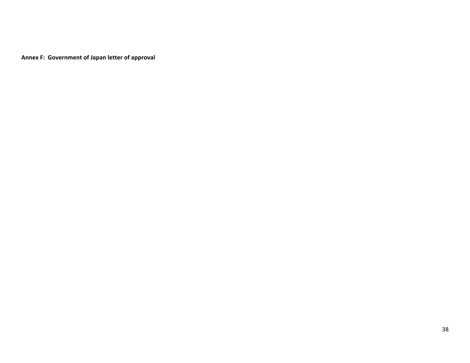**Annex F: Government of Japan letter of approval**